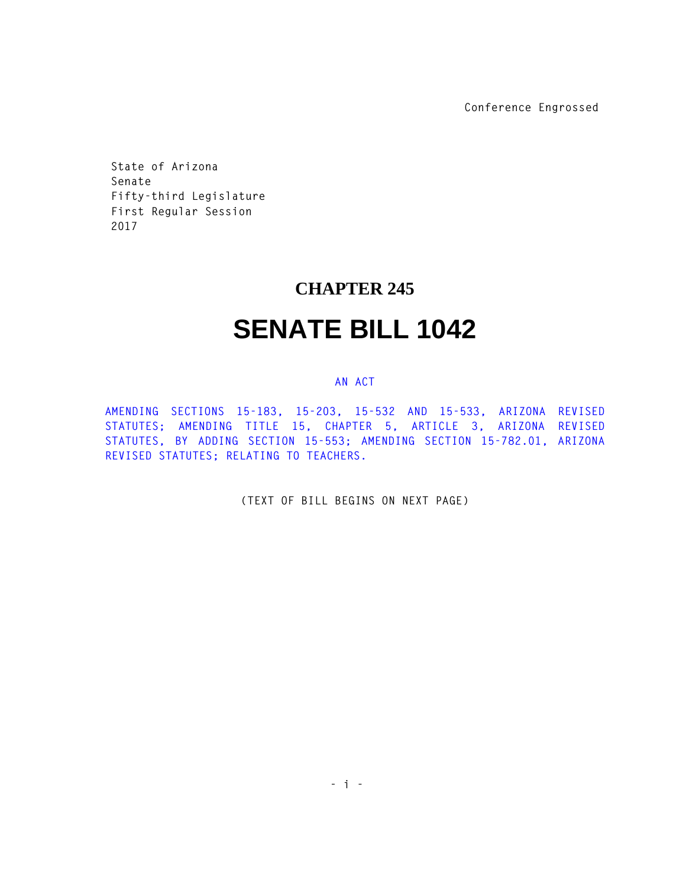**Conference Engrossed** 

**State of Arizona Senate Fifty-third Legislature First Regular Session 2017** 

## **CHAPTER 245**

## **SENATE BILL 1042**

## **AN ACT**

**AMENDING SECTIONS 15-183, 15-203, 15-532 AND 15-533, ARIZONA REVISED STATUTES; AMENDING TITLE 15, CHAPTER 5, ARTICLE 3, ARIZONA REVISED STATUTES, BY ADDING SECTION 15-553; AMENDING SECTION 15-782.01, ARIZONA REVISED STATUTES; RELATING TO TEACHERS.** 

**(TEXT OF BILL BEGINS ON NEXT PAGE)**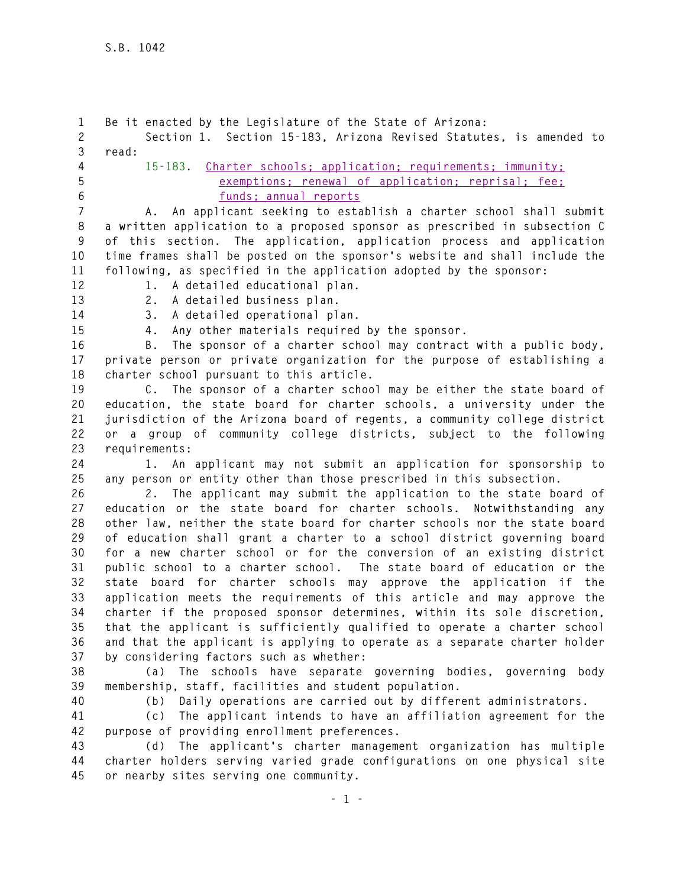**1 Be it enacted by the Legislature of the State of Arizona: 2 Section 1. Section 15-183, Arizona Revised Statutes, is amended to 3 read: 4 15-183. Charter schools; application; requirements; immunity; 5 exemptions; renewal of application; reprisal; fee; 6 funds; annual reports 7 A. An applicant seeking to establish a charter school shall submit 8 a written application to a proposed sponsor as prescribed in subsection C 9 of this section. The application, application process and application 10 time frames shall be posted on the sponsor's website and shall include the 11 following, as specified in the application adopted by the sponsor: 12 1. A detailed educational plan. 13 2. A detailed business plan. 14 3. A detailed operational plan. 15 4. Any other materials required by the sponsor. 16 B. The sponsor of a charter school may contract with a public body, 17 private person or private organization for the purpose of establishing a 18 charter school pursuant to this article. 19 C. The sponsor of a charter school may be either the state board of 20 education, the state board for charter schools, a university under the 21 jurisdiction of the Arizona board of regents, a community college district 22 or a group of community college districts, subject to the following 23 requirements: 24 1. An applicant may not submit an application for sponsorship to 25 any person or entity other than those prescribed in this subsection. 26 2. The applicant may submit the application to the state board of 27 education or the state board for charter schools. Notwithstanding any 28 other law, neither the state board for charter schools nor the state board 29 of education shall grant a charter to a school district governing board 30 for a new charter school or for the conversion of an existing district 31 public school to a charter school. The state board of education or the 32 state board for charter schools may approve the application if the 33 application meets the requirements of this article and may approve the 34 charter if the proposed sponsor determines, within its sole discretion, 35 that the applicant is sufficiently qualified to operate a charter school 36 and that the applicant is applying to operate as a separate charter holder 37 by considering factors such as whether: 38 (a) The schools have separate governing bodies, governing body 39 membership, staff, facilities and student population. 40 (b) Daily operations are carried out by different administrators. 41 (c) The applicant intends to have an affiliation agreement for the 42 purpose of providing enrollment preferences. 43 (d) The applicant's charter management organization has multiple 44 charter holders serving varied grade configurations on one physical site 45 or nearby sites serving one community.**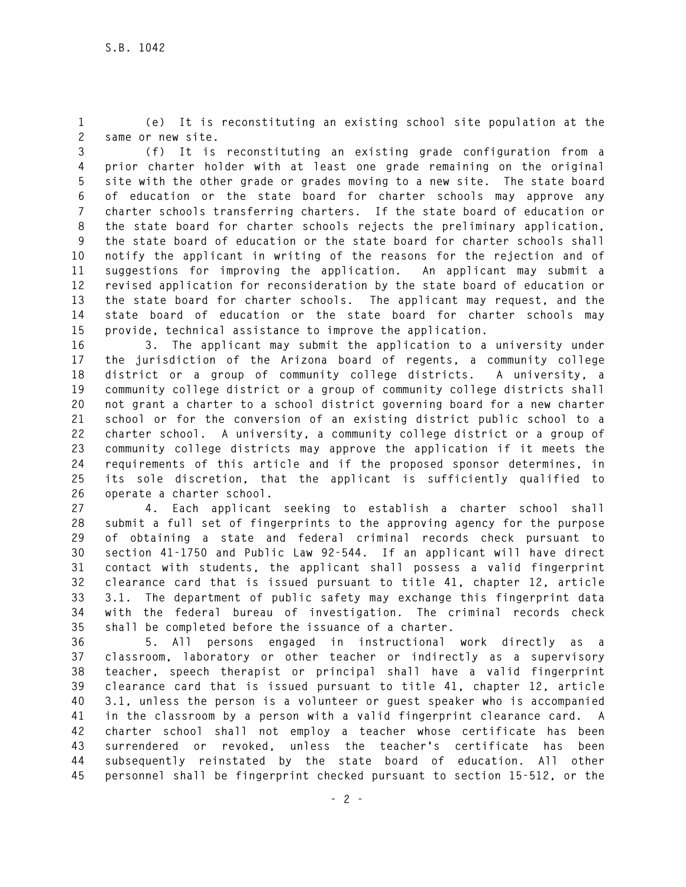**1 (e) It is reconstituting an existing school site population at the 2 same or new site.** 

**3 (f) It is reconstituting an existing grade configuration from a 4 prior charter holder with at least one grade remaining on the original 5 site with the other grade or grades moving to a new site. The state board 6 of education or the state board for charter schools may approve any 7 charter schools transferring charters. If the state board of education or 8 the state board for charter schools rejects the preliminary application, 9 the state board of education or the state board for charter schools shall 10 notify the applicant in writing of the reasons for the rejection and of 11 suggestions for improving the application. An applicant may submit a 12 revised application for reconsideration by the state board of education or 13 the state board for charter schools. The applicant may request, and the 14 state board of education or the state board for charter schools may 15 provide, technical assistance to improve the application.** 

**16 3. The applicant may submit the application to a university under 17 the jurisdiction of the Arizona board of regents, a community college 18 district or a group of community college districts. A university, a 19 community college district or a group of community college districts shall 20 not grant a charter to a school district governing board for a new charter 21 school or for the conversion of an existing district public school to a 22 charter school. A university, a community college district or a group of 23 community college districts may approve the application if it meets the 24 requirements of this article and if the proposed sponsor determines, in 25 its sole discretion, that the applicant is sufficiently qualified to 26 operate a charter school.** 

**27 4. Each applicant seeking to establish a charter school shall 28 submit a full set of fingerprints to the approving agency for the purpose 29 of obtaining a state and federal criminal records check pursuant to 30 section 41-1750 and Public Law 92-544. If an applicant will have direct 31 contact with students, the applicant shall possess a valid fingerprint 32 clearance card that is issued pursuant to title 41, chapter 12, article 33 3.1. The department of public safety may exchange this fingerprint data 34 with the federal bureau of investigation. The criminal records check 35 shall be completed before the issuance of a charter.** 

**36 5. All persons engaged in instructional work directly as a 37 classroom, laboratory or other teacher or indirectly as a supervisory 38 teacher, speech therapist or principal shall have a valid fingerprint 39 clearance card that is issued pursuant to title 41, chapter 12, article 40 3.1, unless the person is a volunteer or guest speaker who is accompanied 41 in the classroom by a person with a valid fingerprint clearance card. A 42 charter school shall not employ a teacher whose certificate has been 43 surrendered or revoked, unless the teacher's certificate has been 44 subsequently reinstated by the state board of education. All other 45 personnel shall be fingerprint checked pursuant to section 15-512, or the**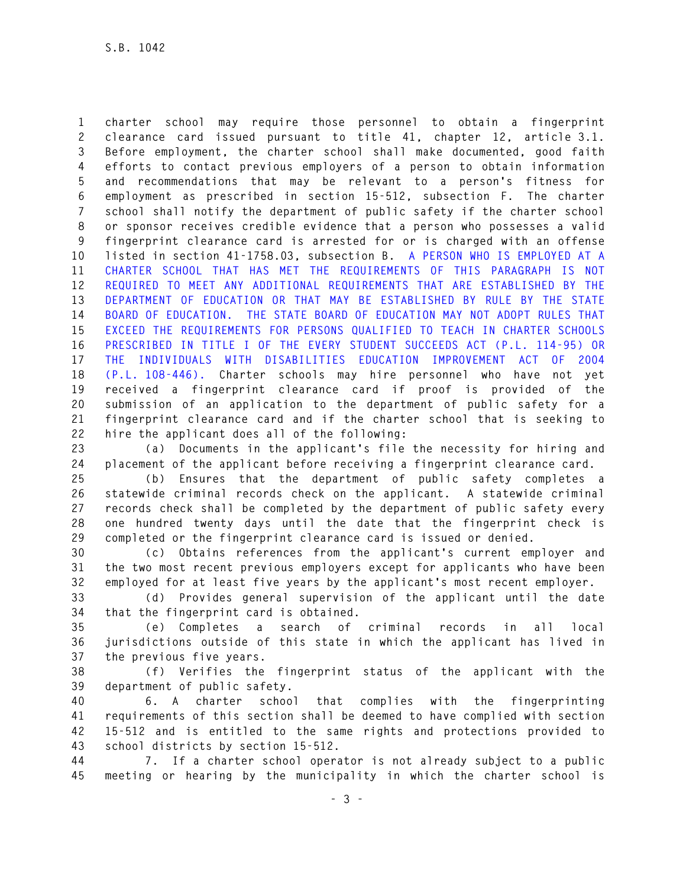**1 charter school may require those personnel to obtain a fingerprint 2 clearance card issued pursuant to title 41, chapter 12, article 3.1. 3 Before employment, the charter school shall make documented, good faith 4 efforts to contact previous employers of a person to obtain information 5 and recommendations that may be relevant to a person's fitness for 6 employment as prescribed in section 15-512, subsection F. The charter 7 school shall notify the department of public safety if the charter school 8 or sponsor receives credible evidence that a person who possesses a valid 9 fingerprint clearance card is arrested for or is charged with an offense 10 listed in section 41-1758.03, subsection B. A PERSON WHO IS EMPLOYED AT A 11 CHARTER SCHOOL THAT HAS MET THE REQUIREMENTS OF THIS PARAGRAPH IS NOT 12 REQUIRED TO MEET ANY ADDITIONAL REQUIREMENTS THAT ARE ESTABLISHED BY THE 13 DEPARTMENT OF EDUCATION OR THAT MAY BE ESTABLISHED BY RULE BY THE STATE 14 BOARD OF EDUCATION. THE STATE BOARD OF EDUCATION MAY NOT ADOPT RULES THAT 15 EXCEED THE REQUIREMENTS FOR PERSONS QUALIFIED TO TEACH IN CHARTER SCHOOLS 16 PRESCRIBED IN TITLE I OF THE EVERY STUDENT SUCCEEDS ACT (P.L. 114-95) OR 17 THE INDIVIDUALS WITH DISABILITIES EDUCATION IMPROVEMENT ACT OF 2004 18 (P.L. 108-446). Charter schools may hire personnel who have not yet 19 received a fingerprint clearance card if proof is provided of the 20 submission of an application to the department of public safety for a 21 fingerprint clearance card and if the charter school that is seeking to 22 hire the applicant does all of the following:** 

**23 (a) Documents in the applicant's file the necessity for hiring and 24 placement of the applicant before receiving a fingerprint clearance card.** 

**25 (b) Ensures that the department of public safety completes a 26 statewide criminal records check on the applicant. A statewide criminal 27 records check shall be completed by the department of public safety every 28 one hundred twenty days until the date that the fingerprint check is 29 completed or the fingerprint clearance card is issued or denied.** 

**30 (c) Obtains references from the applicant's current employer and 31 the two most recent previous employers except for applicants who have been 32 employed for at least five years by the applicant's most recent employer.** 

**33 (d) Provides general supervision of the applicant until the date 34 that the fingerprint card is obtained.** 

**35 (e) Completes a search of criminal records in all local 36 jurisdictions outside of this state in which the applicant has lived in 37 the previous five years.** 

**38 (f) Verifies the fingerprint status of the applicant with the 39 department of public safety.** 

**40 6. A charter school that complies with the fingerprinting 41 requirements of this section shall be deemed to have complied with section 42 15-512 and is entitled to the same rights and protections provided to 43 school districts by section 15-512.** 

**44 7. If a charter school operator is not already subject to a public 45 meeting or hearing by the municipality in which the charter school is**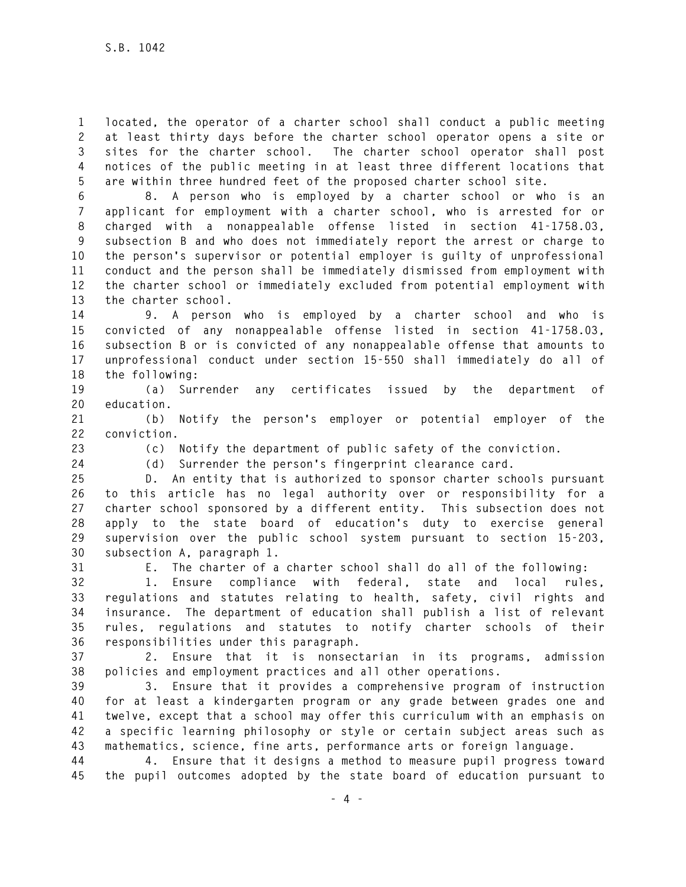**1 located, the operator of a charter school shall conduct a public meeting 2 at least thirty days before the charter school operator opens a site or 3 sites for the charter school. The charter school operator shall post 4 notices of the public meeting in at least three different locations that 5 are within three hundred feet of the proposed charter school site.** 

**6 8. A person who is employed by a charter school or who is an 7 applicant for employment with a charter school, who is arrested for or 8 charged with a nonappealable offense listed in section 41-1758.03, 9 subsection B and who does not immediately report the arrest or charge to 10 the person's supervisor or potential employer is guilty of unprofessional 11 conduct and the person shall be immediately dismissed from employment with 12 the charter school or immediately excluded from potential employment with 13 the charter school.** 

**14 9. A person who is employed by a charter school and who is 15 convicted of any nonappealable offense listed in section 41-1758.03, 16 subsection B or is convicted of any nonappealable offense that amounts to 17 unprofessional conduct under section 15-550 shall immediately do all of 18 the following:** 

**19 (a) Surrender any certificates issued by the department of 20 education.** 

**21 (b) Notify the person's employer or potential employer of the 22 conviction.** 

**23 (c) Notify the department of public safety of the conviction.** 

**24 (d) Surrender the person's fingerprint clearance card.** 

**25 D. An entity that is authorized to sponsor charter schools pursuant 26 to this article has no legal authority over or responsibility for a 27 charter school sponsored by a different entity. This subsection does not 28 apply to the state board of education's duty to exercise general 29 supervision over the public school system pursuant to section 15-203, 30 subsection A, paragraph 1.** 

**31 E. The charter of a charter school shall do all of the following:** 

**32 1. Ensure compliance with federal, state and local rules, 33 regulations and statutes relating to health, safety, civil rights and 34 insurance. The department of education shall publish a list of relevant 35 rules, regulations and statutes to notify charter schools of their 36 responsibilities under this paragraph.** 

**37 2. Ensure that it is nonsectarian in its programs, admission 38 policies and employment practices and all other operations.** 

**39 3. Ensure that it provides a comprehensive program of instruction 40 for at least a kindergarten program or any grade between grades one and 41 twelve, except that a school may offer this curriculum with an emphasis on 42 a specific learning philosophy or style or certain subject areas such as 43 mathematics, science, fine arts, performance arts or foreign language.** 

**44 4. Ensure that it designs a method to measure pupil progress toward 45 the pupil outcomes adopted by the state board of education pursuant to**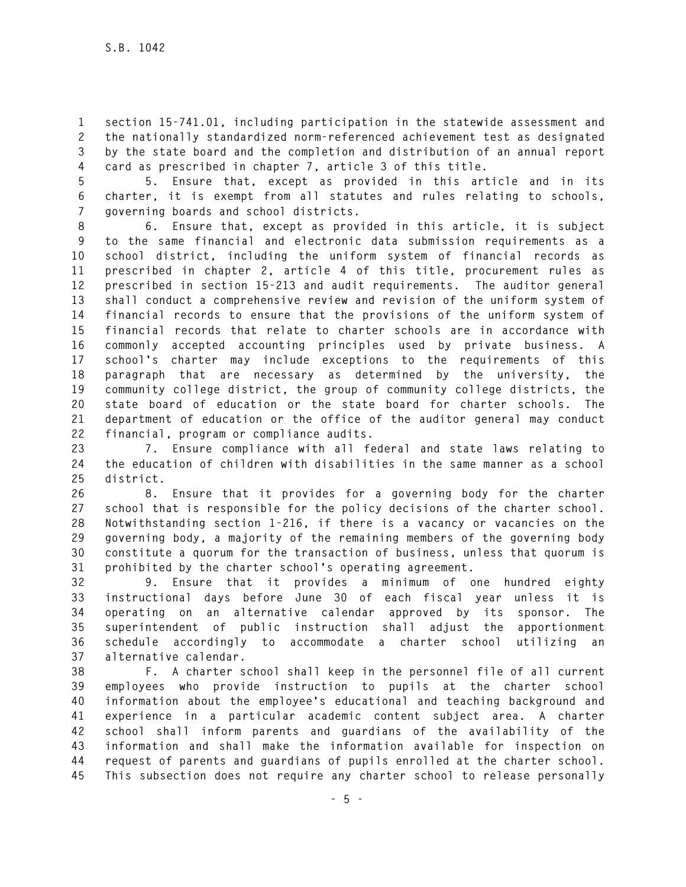**1 section 15-741.01, including participation in the statewide assessment and 2 the nationally standardized norm-referenced achievement test as designated 3 by the state board and the completion and distribution of an annual report 4 card as prescribed in chapter 7, article 3 of this title.** 

**5 5. Ensure that, except as provided in this article and in its 6 charter, it is exempt from all statutes and rules relating to schools, 7 governing boards and school districts.** 

**8 6. Ensure that, except as provided in this article, it is subject 9 to the same financial and electronic data submission requirements as a 10 school district, including the uniform system of financial records as 11 prescribed in chapter 2, article 4 of this title, procurement rules as 12 prescribed in section 15-213 and audit requirements. The auditor general 13 shall conduct a comprehensive review and revision of the uniform system of 14 financial records to ensure that the provisions of the uniform system of 15 financial records that relate to charter schools are in accordance with 16 commonly accepted accounting principles used by private business. A 17 school's charter may include exceptions to the requirements of this 18 paragraph that are necessary as determined by the university, the 19 community college district, the group of community college districts, the 20 state board of education or the state board for charter schools. The 21 department of education or the office of the auditor general may conduct 22 financial, program or compliance audits.** 

**23 7. Ensure compliance with all federal and state laws relating to 24 the education of children with disabilities in the same manner as a school 25 district.** 

**26 8. Ensure that it provides for a governing body for the charter 27 school that is responsible for the policy decisions of the charter school. 28 Notwithstanding section 1-216, if there is a vacancy or vacancies on the 29 governing body, a majority of the remaining members of the governing body 30 constitute a quorum for the transaction of business, unless that quorum is 31 prohibited by the charter school's operating agreement.** 

**32 9. Ensure that it provides a minimum of one hundred eighty 33 instructional days before June 30 of each fiscal year unless it is 34 operating on an alternative calendar approved by its sponsor. The 35 superintendent of public instruction shall adjust the apportionment 36 schedule accordingly to accommodate a charter school utilizing an 37 alternative calendar.** 

**38 F. A charter school shall keep in the personnel file of all current 39 employees who provide instruction to pupils at the charter school 40 information about the employee's educational and teaching background and 41 experience in a particular academic content subject area. A charter 42 school shall inform parents and guardians of the availability of the 43 information and shall make the information available for inspection on 44 request of parents and guardians of pupils enrolled at the charter school. 45 This subsection does not require any charter school to release personally**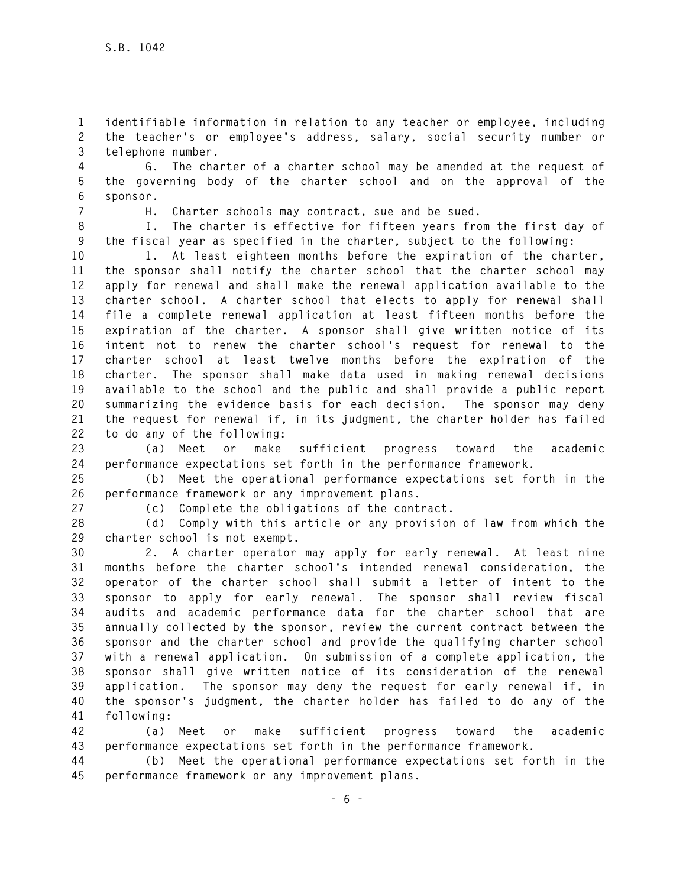**1 identifiable information in relation to any teacher or employee, including 2 the teacher's or employee's address, salary, social security number or 3 telephone number.** 

**4 G. The charter of a charter school may be amended at the request of 5 the governing body of the charter school and on the approval of the 6 sponsor.** 

**7 H. Charter schools may contract, sue and be sued.** 

**8 I. The charter is effective for fifteen years from the first day of 9 the fiscal year as specified in the charter, subject to the following:** 

**10 1. At least eighteen months before the expiration of the charter, 11 the sponsor shall notify the charter school that the charter school may 12 apply for renewal and shall make the renewal application available to the 13 charter school. A charter school that elects to apply for renewal shall 14 file a complete renewal application at least fifteen months before the 15 expiration of the charter. A sponsor shall give written notice of its 16 intent not to renew the charter school's request for renewal to the 17 charter school at least twelve months before the expiration of the 18 charter. The sponsor shall make data used in making renewal decisions 19 available to the school and the public and shall provide a public report 20 summarizing the evidence basis for each decision. The sponsor may deny 21 the request for renewal if, in its judgment, the charter holder has failed 22 to do any of the following:** 

**23 (a) Meet or make sufficient progress toward the academic 24 performance expectations set forth in the performance framework.** 

**25 (b) Meet the operational performance expectations set forth in the 26 performance framework or any improvement plans.** 

**27 (c) Complete the obligations of the contract.** 

**28 (d) Comply with this article or any provision of law from which the 29 charter school is not exempt.** 

**30 2. A charter operator may apply for early renewal. At least nine 31 months before the charter school's intended renewal consideration, the 32 operator of the charter school shall submit a letter of intent to the 33 sponsor to apply for early renewal. The sponsor shall review fiscal 34 audits and academic performance data for the charter school that are 35 annually collected by the sponsor, review the current contract between the 36 sponsor and the charter school and provide the qualifying charter school 37 with a renewal application. On submission of a complete application, the 38 sponsor shall give written notice of its consideration of the renewal 39 application. The sponsor may deny the request for early renewal if, in 40 the sponsor's judgment, the charter holder has failed to do any of the 41 following:** 

**42 (a) Meet or make sufficient progress toward the academic 43 performance expectations set forth in the performance framework.** 

**44 (b) Meet the operational performance expectations set forth in the 45 performance framework or any improvement plans.**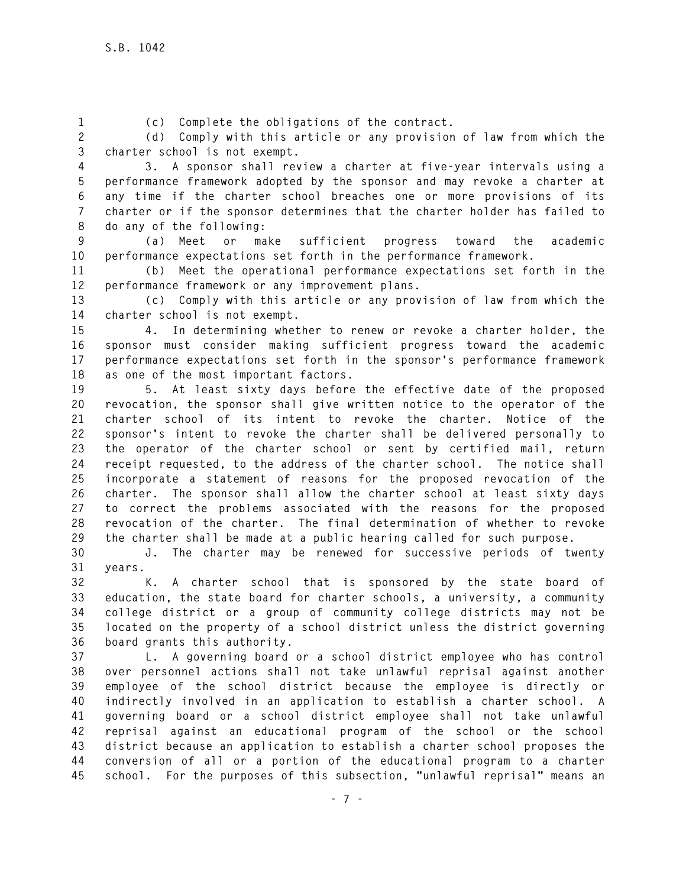**1 (c) Complete the obligations of the contract.** 

**2 (d) Comply with this article or any provision of law from which the 3 charter school is not exempt.** 

**4 3. A sponsor shall review a charter at five-year intervals using a 5 performance framework adopted by the sponsor and may revoke a charter at 6 any time if the charter school breaches one or more provisions of its 7 charter or if the sponsor determines that the charter holder has failed to 8 do any of the following:** 

**9 (a) Meet or make sufficient progress toward the academic 10 performance expectations set forth in the performance framework.** 

**11 (b) Meet the operational performance expectations set forth in the 12 performance framework or any improvement plans.** 

**13 (c) Comply with this article or any provision of law from which the 14 charter school is not exempt.** 

**15 4. In determining whether to renew or revoke a charter holder, the 16 sponsor must consider making sufficient progress toward the academic 17 performance expectations set forth in the sponsor's performance framework 18 as one of the most important factors.** 

**19 5. At least sixty days before the effective date of the proposed 20 revocation, the sponsor shall give written notice to the operator of the 21 charter school of its intent to revoke the charter. Notice of the 22 sponsor's intent to revoke the charter shall be delivered personally to 23 the operator of the charter school or sent by certified mail, return 24 receipt requested, to the address of the charter school. The notice shall 25 incorporate a statement of reasons for the proposed revocation of the 26 charter. The sponsor shall allow the charter school at least sixty days 27 to correct the problems associated with the reasons for the proposed 28 revocation of the charter. The final determination of whether to revoke 29 the charter shall be made at a public hearing called for such purpose.** 

**30 J. The charter may be renewed for successive periods of twenty 31 years.** 

**32 K. A charter school that is sponsored by the state board of 33 education, the state board for charter schools, a university, a community 34 college district or a group of community college districts may not be 35 located on the property of a school district unless the district governing 36 board grants this authority.** 

**37 L. A governing board or a school district employee who has control 38 over personnel actions shall not take unlawful reprisal against another 39 employee of the school district because the employee is directly or 40 indirectly involved in an application to establish a charter school. A 41 governing board or a school district employee shall not take unlawful 42 reprisal against an educational program of the school or the school 43 district because an application to establish a charter school proposes the 44 conversion of all or a portion of the educational program to a charter 45 school. For the purposes of this subsection, "unlawful reprisal" means an**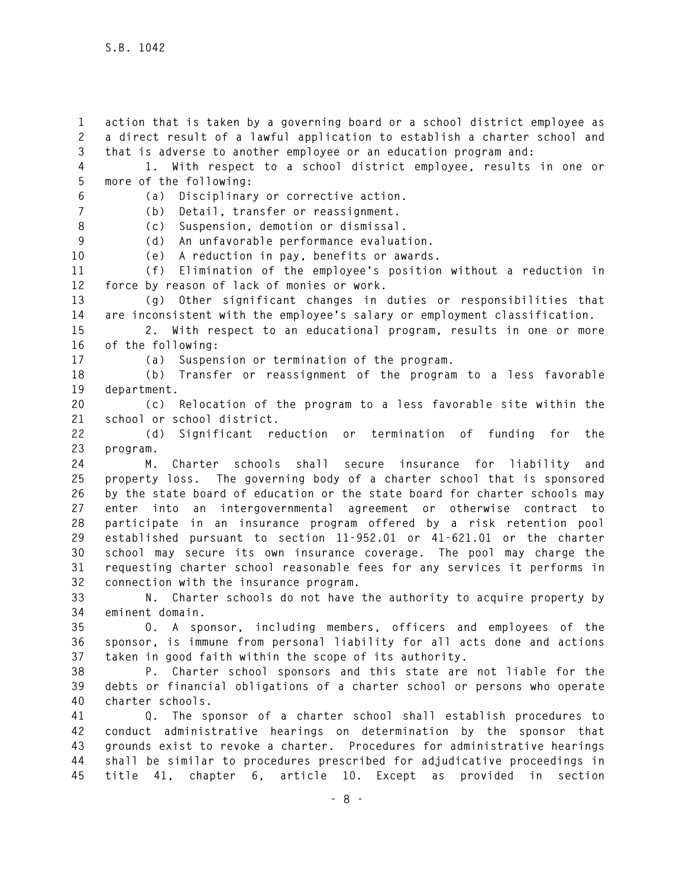**1 action that is taken by a governing board or a school district employee as 2 a direct result of a lawful application to establish a charter school and 3 that is adverse to another employee or an education program and: 4 1. With respect to a school district employee, results in one or 5 more of the following: 6 (a) Disciplinary or corrective action. 7 (b) Detail, transfer or reassignment. 8 (c) Suspension, demotion or dismissal. 9 (d) An unfavorable performance evaluation. 10 (e) A reduction in pay, benefits or awards. 11 (f) Elimination of the employee's position without a reduction in 12 force by reason of lack of monies or work. 13 (g) Other significant changes in duties or responsibilities that 14 are inconsistent with the employee's salary or employment classification. 15 2. With respect to an educational program, results in one or more 16 of the following: 17 (a) Suspension or termination of the program. 18 (b) Transfer or reassignment of the program to a less favorable 19 department. 20 (c) Relocation of the program to a less favorable site within the 21 school or school district. 22 (d) Significant reduction or termination of funding for the 23 program. 24 M. Charter schools shall secure insurance for liability and 25 property loss. The governing body of a charter school that is sponsored 26 by the state board of education or the state board for charter schools may 27 enter into an intergovernmental agreement or otherwise contract to 28 participate in an insurance program offered by a risk retention pool 29 established pursuant to section 11-952.01 or 41-621.01 or the charter 30 school may secure its own insurance coverage. The pool may charge the 31 requesting charter school reasonable fees for any services it performs in 32 connection with the insurance program. 33 N. Charter schools do not have the authority to acquire property by 34 eminent domain. 35 O. A sponsor, including members, officers and employees of the 36 sponsor, is immune from personal liability for all acts done and actions 37 taken in good faith within the scope of its authority. 38 P. Charter school sponsors and this state are not liable for the 39 debts or financial obligations of a charter school or persons who operate 40 charter schools. 41 Q. The sponsor of a charter school shall establish procedures to 42 conduct administrative hearings on determination by the sponsor that 43 grounds exist to revoke a charter. Procedures for administrative hearings 44 shall be similar to procedures prescribed for adjudicative proceedings in 45 title 41, chapter 6, article 10. Except as provided in section**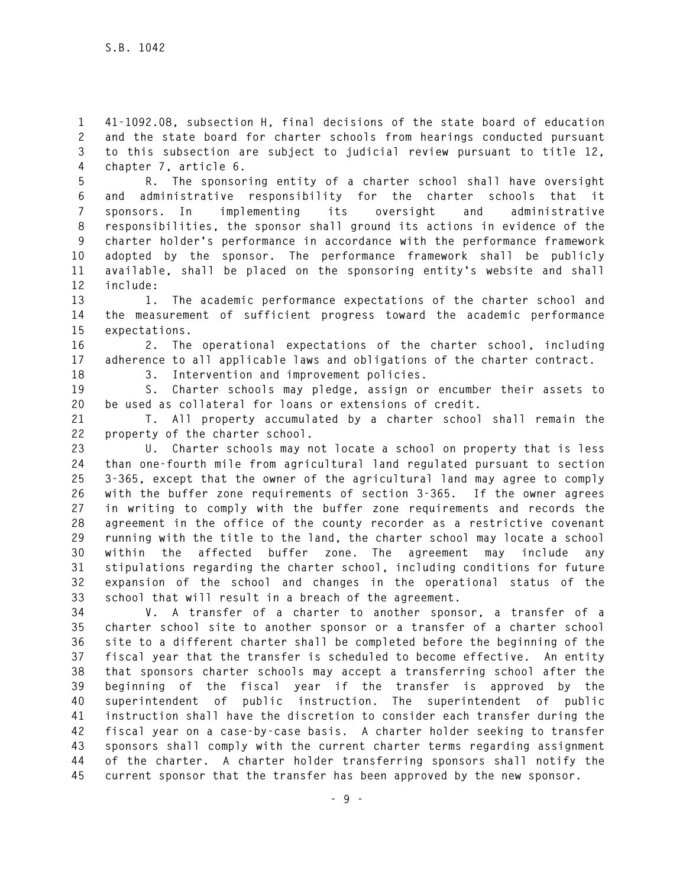**1 41-1092.08, subsection H, final decisions of the state board of education 2 and the state board for charter schools from hearings conducted pursuant 3 to this subsection are subject to judicial review pursuant to title 12, 4 chapter 7, article 6.** 

**5 R. The sponsoring entity of a charter school shall have oversight 6 and administrative responsibility for the charter schools that it 7 sponsors. In implementing its oversight and administrative 8 responsibilities, the sponsor shall ground its actions in evidence of the 9 charter holder's performance in accordance with the performance framework 10 adopted by the sponsor. The performance framework shall be publicly 11 available, shall be placed on the sponsoring entity's website and shall 12 include:** 

**13 1. The academic performance expectations of the charter school and 14 the measurement of sufficient progress toward the academic performance 15 expectations.** 

**16 2. The operational expectations of the charter school, including 17 adherence to all applicable laws and obligations of the charter contract.** 

**18 3. Intervention and improvement policies.** 

**19 S. Charter schools may pledge, assign or encumber their assets to 20 be used as collateral for loans or extensions of credit.** 

**21 T. All property accumulated by a charter school shall remain the 22 property of the charter school.** 

**23 U. Charter schools may not locate a school on property that is less 24 than one-fourth mile from agricultural land regulated pursuant to section 25 3-365, except that the owner of the agricultural land may agree to comply 26 with the buffer zone requirements of section 3-365. If the owner agrees 27 in writing to comply with the buffer zone requirements and records the 28 agreement in the office of the county recorder as a restrictive covenant 29 running with the title to the land, the charter school may locate a school 30 within the affected buffer zone. The agreement may include any 31 stipulations regarding the charter school, including conditions for future 32 expansion of the school and changes in the operational status of the 33 school that will result in a breach of the agreement.** 

**34 V. A transfer of a charter to another sponsor, a transfer of a 35 charter school site to another sponsor or a transfer of a charter school 36 site to a different charter shall be completed before the beginning of the 37 fiscal year that the transfer is scheduled to become effective. An entity 38 that sponsors charter schools may accept a transferring school after the 39 beginning of the fiscal year if the transfer is approved by the 40 superintendent of public instruction. The superintendent of public 41 instruction shall have the discretion to consider each transfer during the 42 fiscal year on a case-by-case basis. A charter holder seeking to transfer 43 sponsors shall comply with the current charter terms regarding assignment 44 of the charter. A charter holder transferring sponsors shall notify the 45 current sponsor that the transfer has been approved by the new sponsor.**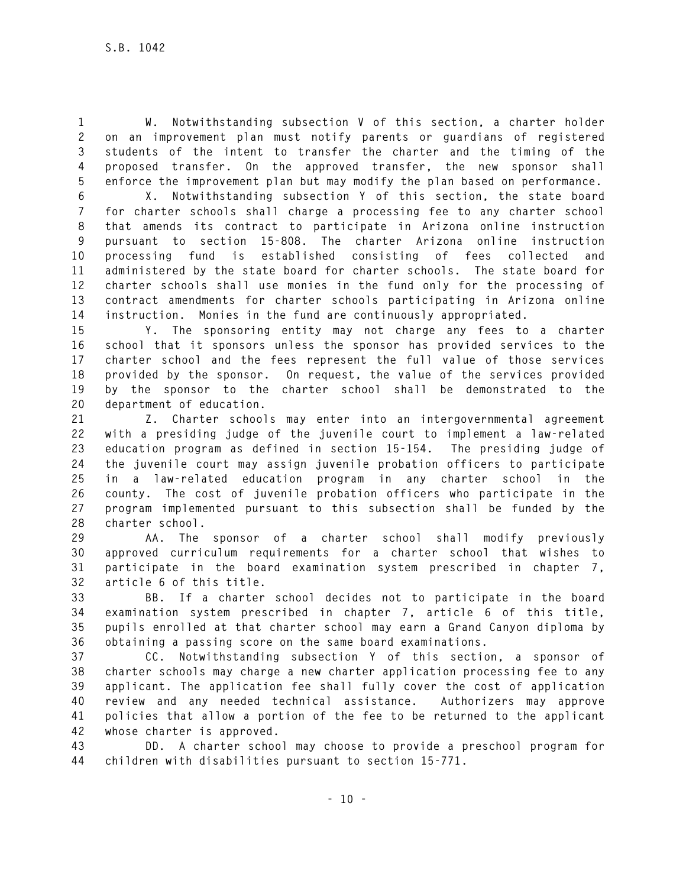**1 W. Notwithstanding subsection V of this section, a charter holder 2 on an improvement plan must notify parents or guardians of registered 3 students of the intent to transfer the charter and the timing of the 4 proposed transfer. On the approved transfer, the new sponsor shall 5 enforce the improvement plan but may modify the plan based on performance.** 

**6 X. Notwithstanding subsection Y of this section, the state board 7 for charter schools shall charge a processing fee to any charter school 8 that amends its contract to participate in Arizona online instruction 9 pursuant to section 15-808. The charter Arizona online instruction 10 processing fund is established consisting of fees collected and 11 administered by the state board for charter schools. The state board for 12 charter schools shall use monies in the fund only for the processing of 13 contract amendments for charter schools participating in Arizona online 14 instruction. Monies in the fund are continuously appropriated.** 

**15 Y. The sponsoring entity may not charge any fees to a charter 16 school that it sponsors unless the sponsor has provided services to the 17 charter school and the fees represent the full value of those services 18 provided by the sponsor. On request, the value of the services provided 19 by the sponsor to the charter school shall be demonstrated to the 20 department of education.** 

**21 Z. Charter schools may enter into an intergovernmental agreement 22 with a presiding judge of the juvenile court to implement a law-related 23 education program as defined in section 15-154. The presiding judge of 24 the juvenile court may assign juvenile probation officers to participate 25 in a law-related education program in any charter school in the 26 county. The cost of juvenile probation officers who participate in the 27 program implemented pursuant to this subsection shall be funded by the 28 charter school.** 

**29 AA. The sponsor of a charter school shall modify previously 30 approved curriculum requirements for a charter school that wishes to 31 participate in the board examination system prescribed in chapter 7, 32 article 6 of this title.** 

**33 BB. If a charter school decides not to participate in the board 34 examination system prescribed in chapter 7, article 6 of this title, 35 pupils enrolled at that charter school may earn a Grand Canyon diploma by 36 obtaining a passing score on the same board examinations.** 

**37 CC. Notwithstanding subsection Y of this section, a sponsor of 38 charter schools may charge a new charter application processing fee to any 39 applicant. The application fee shall fully cover the cost of application 40 review and any needed technical assistance. Authorizers may approve 41 policies that allow a portion of the fee to be returned to the applicant 42 whose charter is approved.** 

**43 DD. A charter school may choose to provide a preschool program for 44 children with disabilities pursuant to section 15-771.**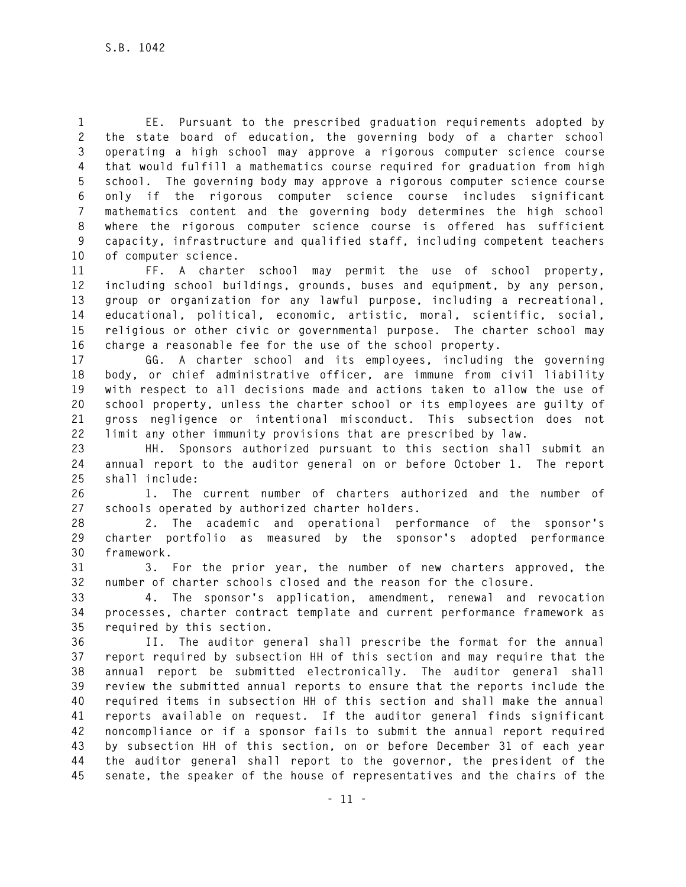**1 EE. Pursuant to the prescribed graduation requirements adopted by 2 the state board of education, the governing body of a charter school 3 operating a high school may approve a rigorous computer science course 4 that would fulfill a mathematics course required for graduation from high 5 school. The governing body may approve a rigorous computer science course 6 only if the rigorous computer science course includes significant 7 mathematics content and the governing body determines the high school 8 where the rigorous computer science course is offered has sufficient 9 capacity, infrastructure and qualified staff, including competent teachers 10 of computer science.** 

**11 FF. A charter school may permit the use of school property, 12 including school buildings, grounds, buses and equipment, by any person, 13 group or organization for any lawful purpose, including a recreational, 14 educational, political, economic, artistic, moral, scientific, social, 15 religious or other civic or governmental purpose. The charter school may 16 charge a reasonable fee for the use of the school property.** 

**17 GG. A charter school and its employees, including the governing 18 body, or chief administrative officer, are immune from civil liability 19 with respect to all decisions made and actions taken to allow the use of 20 school property, unless the charter school or its employees are guilty of 21 gross negligence or intentional misconduct. This subsection does not 22 limit any other immunity provisions that are prescribed by law.** 

**23 HH. Sponsors authorized pursuant to this section shall submit an 24 annual report to the auditor general on or before October 1. The report 25 shall include:** 

**26 1. The current number of charters authorized and the number of 27 schools operated by authorized charter holders.** 

**28 2. The academic and operational performance of the sponsor's 29 charter portfolio as measured by the sponsor's adopted performance 30 framework.** 

**31 3. For the prior year, the number of new charters approved, the 32 number of charter schools closed and the reason for the closure.** 

**33 4. The sponsor's application, amendment, renewal and revocation 34 processes, charter contract template and current performance framework as 35 required by this section.** 

**36 II. The auditor general shall prescribe the format for the annual 37 report required by subsection HH of this section and may require that the 38 annual report be submitted electronically. The auditor general shall 39 review the submitted annual reports to ensure that the reports include the 40 required items in subsection HH of this section and shall make the annual 41 reports available on request. If the auditor general finds significant 42 noncompliance or if a sponsor fails to submit the annual report required 43 by subsection HH of this section, on or before December 31 of each year 44 the auditor general shall report to the governor, the president of the 45 senate, the speaker of the house of representatives and the chairs of the**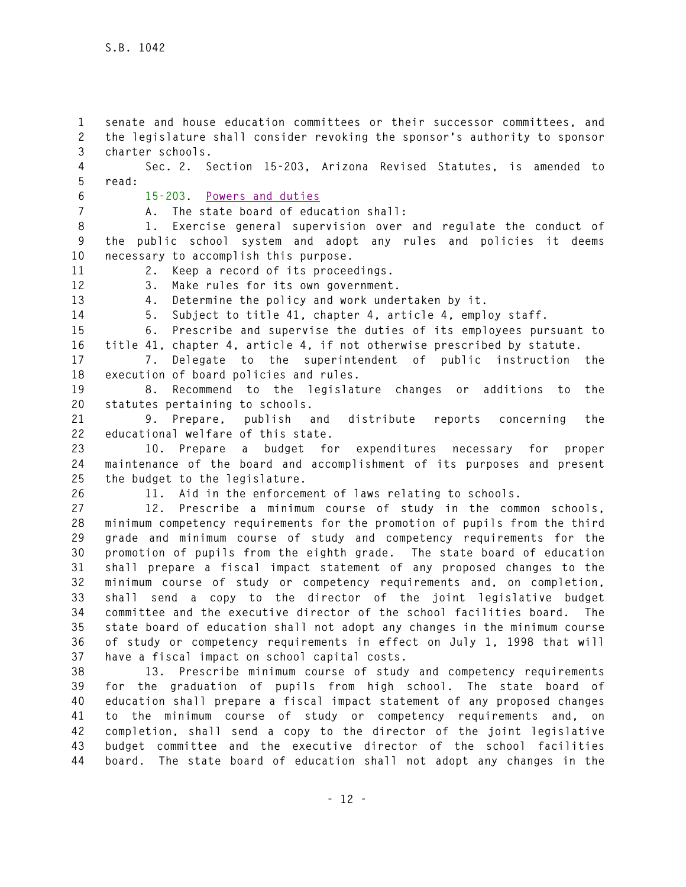**1 senate and house education committees or their successor committees, and 2 the legislature shall consider revoking the sponsor's authority to sponsor 3 charter schools. 4 Sec. 2. Section 15-203, Arizona Revised Statutes, is amended to** 

**5 read:** 

**6 15-203. Powers and duties**

**7 A. The state board of education shall:** 

**8 1. Exercise general supervision over and regulate the conduct of 9 the public school system and adopt any rules and policies it deems 10 necessary to accomplish this purpose.** 

**11 2. Keep a record of its proceedings. 12 3. Make rules for its own government.** 

**13 4. Determine the policy and work undertaken by it.** 

**14 5. Subject to title 41, chapter 4, article 4, employ staff.** 

**15 6. Prescribe and supervise the duties of its employees pursuant to 16 title 41, chapter 4, article 4, if not otherwise prescribed by statute.** 

**17 7. Delegate to the superintendent of public instruction the 18 execution of board policies and rules.** 

**19 8. Recommend to the legislature changes or additions to the 20 statutes pertaining to schools.** 

**21 9. Prepare, publish and distribute reports concerning the 22 educational welfare of this state.** 

**23 10. Prepare a budget for expenditures necessary for proper 24 maintenance of the board and accomplishment of its purposes and present 25 the budget to the legislature.** 

**26 11. Aid in the enforcement of laws relating to schools.** 

**27 12. Prescribe a minimum course of study in the common schools, 28 minimum competency requirements for the promotion of pupils from the third 29 grade and minimum course of study and competency requirements for the 30 promotion of pupils from the eighth grade. The state board of education 31 shall prepare a fiscal impact statement of any proposed changes to the 32 minimum course of study or competency requirements and, on completion, 33 shall send a copy to the director of the joint legislative budget 34 committee and the executive director of the school facilities board. The 35 state board of education shall not adopt any changes in the minimum course 36 of study or competency requirements in effect on July 1, 1998 that will 37 have a fiscal impact on school capital costs.** 

**38 13. Prescribe minimum course of study and competency requirements 39 for the graduation of pupils from high school. The state board of 40 education shall prepare a fiscal impact statement of any proposed changes 41 to the minimum course of study or competency requirements and, on 42 completion, shall send a copy to the director of the joint legislative 43 budget committee and the executive director of the school facilities 44 board. The state board of education shall not adopt any changes in the**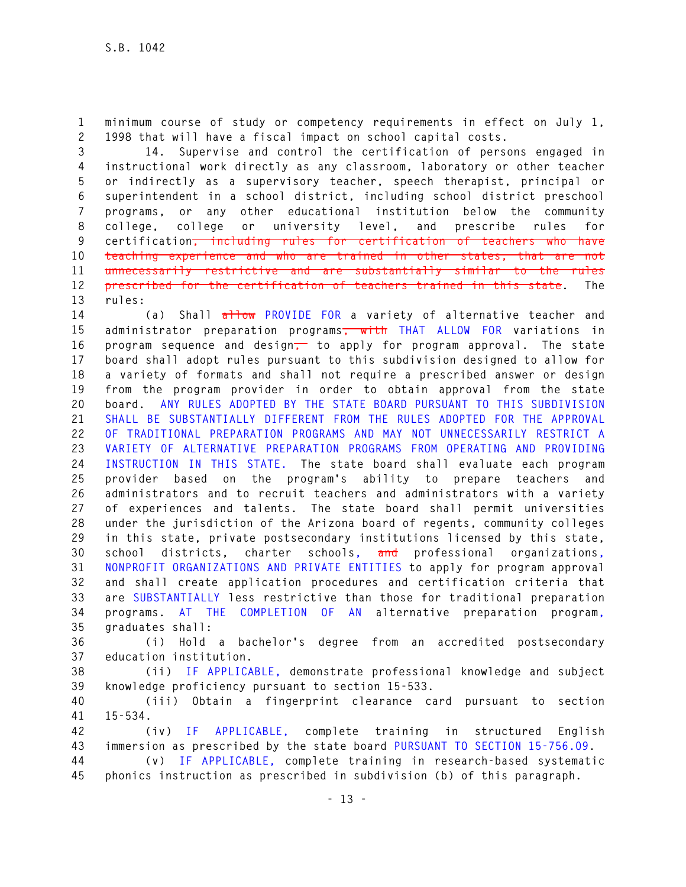**1 minimum course of study or competency requirements in effect on July 1, 2 1998 that will have a fiscal impact on school capital costs.** 

**3 14. Supervise and control the certification of persons engaged in 4 instructional work directly as any classroom, laboratory or other teacher 5 or indirectly as a supervisory teacher, speech therapist, principal or 6 superintendent in a school district, including school district preschool 7 programs, or any other educational institution below the community 8 college, college or university level, and prescribe rules for 9 certification, including rules for certification of teachers who have 10 teaching experience and who are trained in other states, that are not 11 unnecessarily restrictive and are substantially similar to the rules 12 prescribed for the certification of teachers trained in this state. The 13 rules:** 

**14 (a) Shall allow PROVIDE FOR a variety of alternative teacher and 15 administrator preparation programs, with THAT ALLOW FOR variations in 16 program sequence and design, to apply for program approval. The state 17 board shall adopt rules pursuant to this subdivision designed to allow for 18 a variety of formats and shall not require a prescribed answer or design 19 from the program provider in order to obtain approval from the state 20 board. ANY RULES ADOPTED BY THE STATE BOARD PURSUANT TO THIS SUBDIVISION 21 SHALL BE SUBSTANTIALLY DIFFERENT FROM THE RULES ADOPTED FOR THE APPROVAL 22 OF TRADITIONAL PREPARATION PROGRAMS AND MAY NOT UNNECESSARILY RESTRICT A 23 VARIETY OF ALTERNATIVE PREPARATION PROGRAMS FROM OPERATING AND PROVIDING 24 INSTRUCTION IN THIS STATE. The state board shall evaluate each program 25 provider based on the program's ability to prepare teachers and 26 administrators and to recruit teachers and administrators with a variety 27 of experiences and talents. The state board shall permit universities 28 under the jurisdiction of the Arizona board of regents, community colleges 29 in this state, private postsecondary institutions licensed by this state, 30 school districts, charter schools, and professional organizations, 31 NONPROFIT ORGANIZATIONS AND PRIVATE ENTITIES to apply for program approval 32 and shall create application procedures and certification criteria that 33 are SUBSTANTIALLY less restrictive than those for traditional preparation 34 programs. AT THE COMPLETION OF AN alternative preparation program, 35 graduates shall:** 

**36 (i) Hold a bachelor's degree from an accredited postsecondary 37 education institution.** 

**38 (ii) IF APPLICABLE, demonstrate professional knowledge and subject 39 knowledge proficiency pursuant to section 15-533.** 

**40 (iii) Obtain a fingerprint clearance card pursuant to section 41 15-534.** 

**42 (iv) IF APPLICABLE, complete training in structured English 43 immersion as prescribed by the state board PURSUANT TO SECTION 15-756.09.** 

**44 (v) IF APPLICABLE, complete training in research-based systematic 45 phonics instruction as prescribed in subdivision (b) of this paragraph.**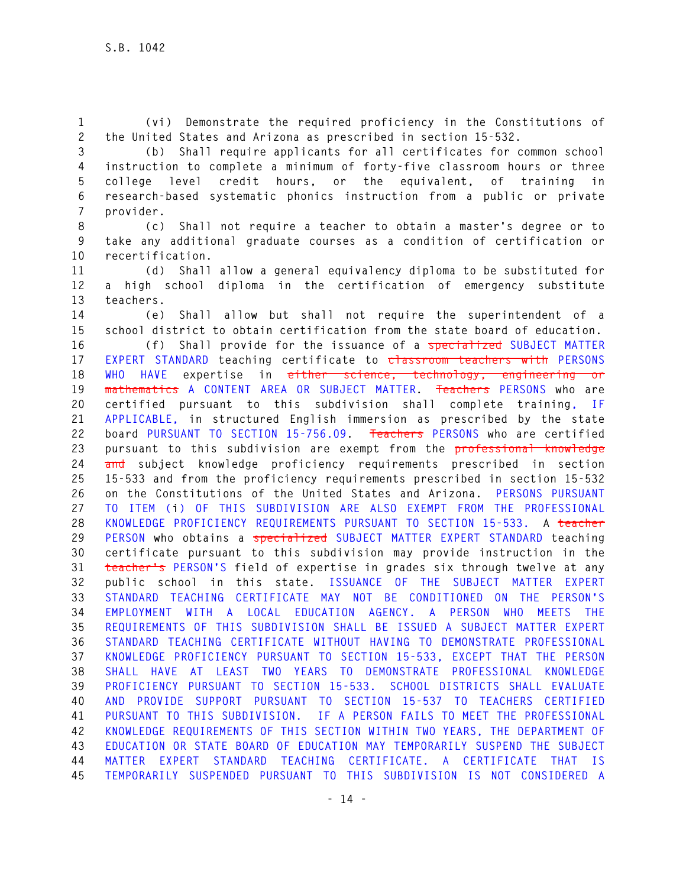**1 (vi) Demonstrate the required proficiency in the Constitutions of 2 the United States and Arizona as prescribed in section 15-532.** 

**3 (b) Shall require applicants for all certificates for common school 4 instruction to complete a minimum of forty-five classroom hours or three 5 college level credit hours, or the equivalent, of training in 6 research-based systematic phonics instruction from a public or private 7 provider.** 

**8 (c) Shall not require a teacher to obtain a master's degree or to 9 take any additional graduate courses as a condition of certification or 10 recertification.** 

**11 (d) Shall allow a general equivalency diploma to be substituted for 12 a high school diploma in the certification of emergency substitute 13 teachers.** 

**14 (e) Shall allow but shall not require the superintendent of a 15 school district to obtain certification from the state board of education.** 

**16 (f) Shall provide for the issuance of a specialized SUBJECT MATTER 17 EXPERT STANDARD teaching certificate to classroom teachers with PERSONS 18 WHO HAVE expertise in either science, technology, engineering or 19 mathematics A CONTENT AREA OR SUBJECT MATTER. Teachers PERSONS who are 20 certified pursuant to this subdivision shall complete training, IF 21 APPLICABLE, in structured English immersion as prescribed by the state 22 board PURSUANT TO SECTION 15-756.09. Teachers PERSONS who are certified 23 pursuant to this subdivision are exempt from the professional knowledge 24 and subject knowledge proficiency requirements prescribed in section 25 15-533 and from the proficiency requirements prescribed in section 15-532 26 on the Constitutions of the United States and Arizona. PERSONS PURSUANT 27 TO ITEM (i) OF THIS SUBDIVISION ARE ALSO EXEMPT FROM THE PROFESSIONAL 28 KNOWLEDGE PROFICIENCY REQUIREMENTS PURSUANT TO SECTION 15-533. A teacher 29 PERSON who obtains a specialized SUBJECT MATTER EXPERT STANDARD teaching 30 certificate pursuant to this subdivision may provide instruction in the 31 teacher's PERSON'S field of expertise in grades six through twelve at any 32 public school in this state. ISSUANCE OF THE SUBJECT MATTER EXPERT 33 STANDARD TEACHING CERTIFICATE MAY NOT BE CONDITIONED ON THE PERSON'S 34 EMPLOYMENT WITH A LOCAL EDUCATION AGENCY. A PERSON WHO MEETS THE 35 REQUIREMENTS OF THIS SUBDIVISION SHALL BE ISSUED A SUBJECT MATTER EXPERT 36 STANDARD TEACHING CERTIFICATE WITHOUT HAVING TO DEMONSTRATE PROFESSIONAL 37 KNOWLEDGE PROFICIENCY PURSUANT TO SECTION 15-533, EXCEPT THAT THE PERSON 38 SHALL HAVE AT LEAST TWO YEARS TO DEMONSTRATE PROFESSIONAL KNOWLEDGE 39 PROFICIENCY PURSUANT TO SECTION 15-533. SCHOOL DISTRICTS SHALL EVALUATE 40 AND PROVIDE SUPPORT PURSUANT TO SECTION 15-537 TO TEACHERS CERTIFIED 41 PURSUANT TO THIS SUBDIVISION. IF A PERSON FAILS TO MEET THE PROFESSIONAL 42 KNOWLEDGE REQUIREMENTS OF THIS SECTION WITHIN TWO YEARS, THE DEPARTMENT OF 43 EDUCATION OR STATE BOARD OF EDUCATION MAY TEMPORARILY SUSPEND THE SUBJECT 44 MATTER EXPERT STANDARD TEACHING CERTIFICATE. A CERTIFICATE THAT IS 45 TEMPORARILY SUSPENDED PURSUANT TO THIS SUBDIVISION IS NOT CONSIDERED A**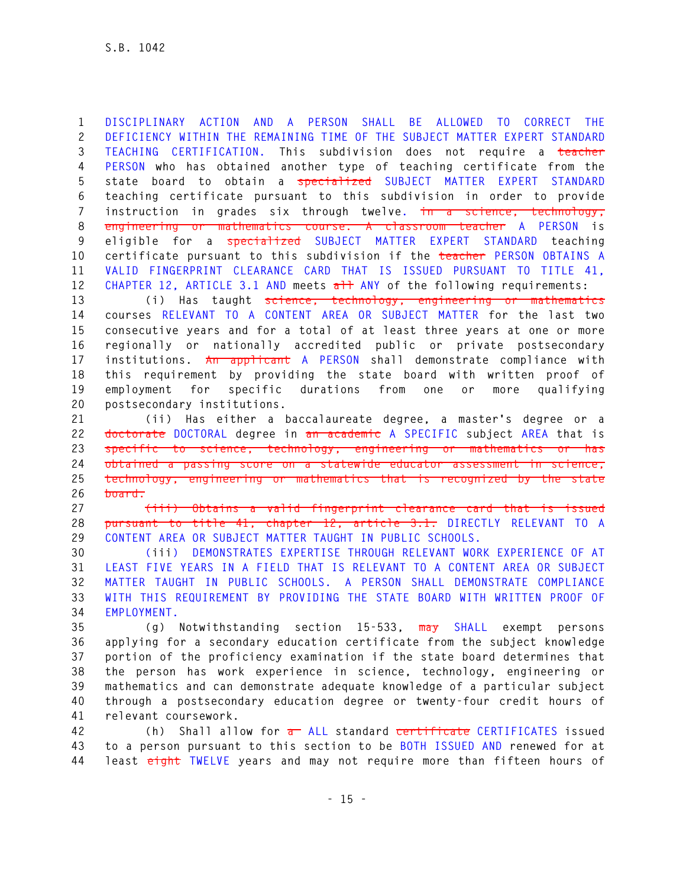**1 DISCIPLINARY ACTION AND A PERSON SHALL BE ALLOWED TO CORRECT THE 2 DEFICIENCY WITHIN THE REMAINING TIME OF THE SUBJECT MATTER EXPERT STANDARD 3 TEACHING CERTIFICATION. This subdivision does not require a teacher 4 PERSON who has obtained another type of teaching certificate from the 5 state board to obtain a specialized SUBJECT MATTER EXPERT STANDARD 6 teaching certificate pursuant to this subdivision in order to provide 7 instruction in grades six through twelve. in a science, technology, 8 engineering or mathematics course. A classroom teacher A PERSON is 9 eligible for a specialized SUBJECT MATTER EXPERT STANDARD teaching 10 certificate pursuant to this subdivision if the teacher PERSON OBTAINS A 11 VALID FINGERPRINT CLEARANCE CARD THAT IS ISSUED PURSUANT TO TITLE 41,**  12 CHAPTER 12, ARTICLE 3.1 AND meets all ANY of the following requirements:

**13 (i) Has taught science, technology, engineering or mathematics 14 courses RELEVANT TO A CONTENT AREA OR SUBJECT MATTER for the last two 15 consecutive years and for a total of at least three years at one or more 16 regionally or nationally accredited public or private postsecondary 17 institutions. An applicant A PERSON shall demonstrate compliance with 18 this requirement by providing the state board with written proof of 19 employment for specific durations from one or more qualifying 20 postsecondary institutions.** 

**21 (ii) Has either a baccalaureate degree, a master's degree or a 22 doctorate DOCTORAL degree in an academic A SPECIFIC subject AREA that is 23 specific to science, technology, engineering or mathematics or has 24 obtained a passing score on a statewide educator assessment in science, 25 technology, engineering or mathematics that is recognized by the state 26 board.** 

**27 (iii) Obtains a valid fingerprint clearance card that is issued 28 pursuant to title 41, chapter 12, article 3.1. DIRECTLY RELEVANT TO A 29 CONTENT AREA OR SUBJECT MATTER TAUGHT IN PUBLIC SCHOOLS.** 

**30 (iii) DEMONSTRATES EXPERTISE THROUGH RELEVANT WORK EXPERIENCE OF AT 31 LEAST FIVE YEARS IN A FIELD THAT IS RELEVANT TO A CONTENT AREA OR SUBJECT 32 MATTER TAUGHT IN PUBLIC SCHOOLS. A PERSON SHALL DEMONSTRATE COMPLIANCE 33 WITH THIS REQUIREMENT BY PROVIDING THE STATE BOARD WITH WRITTEN PROOF OF 34 EMPLOYMENT.** 

**35 (g) Notwithstanding section 15-533, may SHALL exempt persons 36 applying for a secondary education certificate from the subject knowledge 37 portion of the proficiency examination if the state board determines that 38 the person has work experience in science, technology, engineering or 39 mathematics and can demonstrate adequate knowledge of a particular subject 40 through a postsecondary education degree or twenty-four credit hours of 41 relevant coursework.** 

**42 (h) Shall allow for a ALL standard certificate CERTIFICATES issued 43 to a person pursuant to this section to be BOTH ISSUED AND renewed for at 44 least eight TWELVE years and may not require more than fifteen hours of**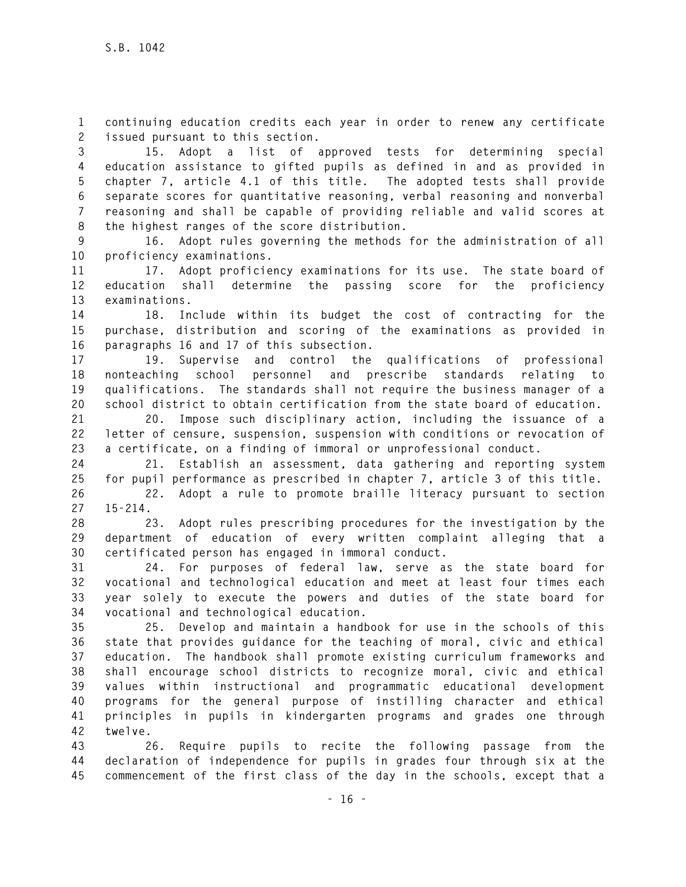**1 continuing education credits each year in order to renew any certificate 2 issued pursuant to this section.** 

**3 15. Adopt a list of approved tests for determining special 4 education assistance to gifted pupils as defined in and as provided in 5 chapter 7, article 4.1 of this title. The adopted tests shall provide 6 separate scores for quantitative reasoning, verbal reasoning and nonverbal 7 reasoning and shall be capable of providing reliable and valid scores at 8 the highest ranges of the score distribution.** 

**9 16. Adopt rules governing the methods for the administration of all 10 proficiency examinations.** 

**11 17. Adopt proficiency examinations for its use. The state board of 12 education shall determine the passing score for the proficiency 13 examinations.** 

**14 18. Include within its budget the cost of contracting for the 15 purchase, distribution and scoring of the examinations as provided in 16 paragraphs 16 and 17 of this subsection.** 

**17 19. Supervise and control the qualifications of professional 18 nonteaching school personnel and prescribe standards relating to 19 qualifications. The standards shall not require the business manager of a 20 school district to obtain certification from the state board of education.** 

**21 20. Impose such disciplinary action, including the issuance of a 22 letter of censure, suspension, suspension with conditions or revocation of 23 a certificate, on a finding of immoral or unprofessional conduct.** 

**24 21. Establish an assessment, data gathering and reporting system 25 for pupil performance as prescribed in chapter 7, article 3 of this title.** 

**26 22. Adopt a rule to promote braille literacy pursuant to section 27 15-214.** 

**28 23. Adopt rules prescribing procedures for the investigation by the 29 department of education of every written complaint alleging that a 30 certificated person has engaged in immoral conduct.** 

**31 24. For purposes of federal law, serve as the state board for 32 vocational and technological education and meet at least four times each 33 year solely to execute the powers and duties of the state board for 34 vocational and technological education.** 

**35 25. Develop and maintain a handbook for use in the schools of this 36 state that provides guidance for the teaching of moral, civic and ethical 37 education. The handbook shall promote existing curriculum frameworks and 38 shall encourage school districts to recognize moral, civic and ethical 39 values within instructional and programmatic educational development 40 programs for the general purpose of instilling character and ethical 41 principles in pupils in kindergarten programs and grades one through 42 twelve.** 

**43 26. Require pupils to recite the following passage from the 44 declaration of independence for pupils in grades four through six at the 45 commencement of the first class of the day in the schools, except that a**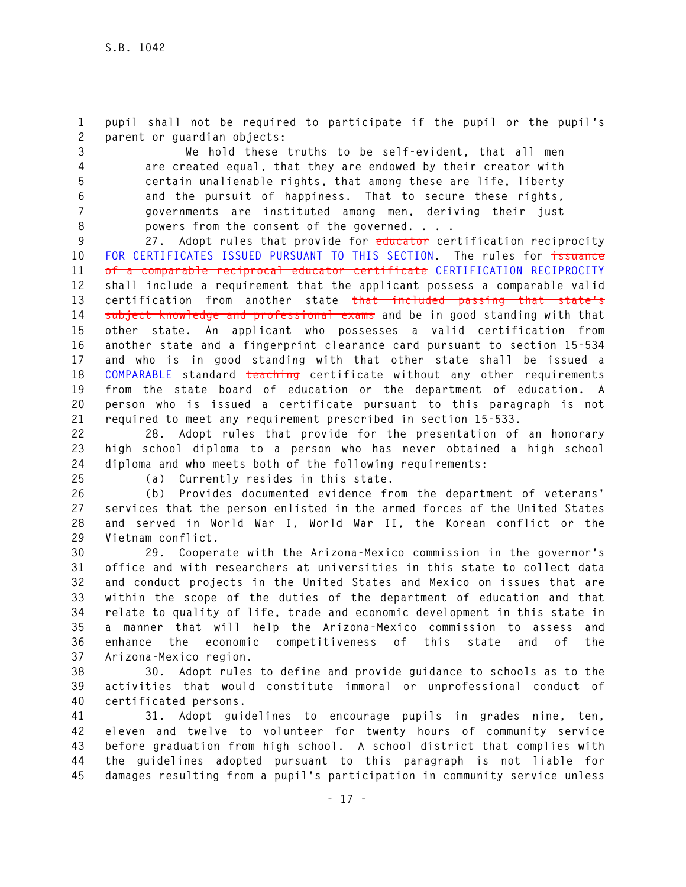**1 pupil shall not be required to participate if the pupil or the pupil's 2 parent or guardian objects:** 

**3 We hold these truths to be self-evident, that all men 4 are created equal, that they are endowed by their creator with 5 certain unalienable rights, that among these are life, liberty 6 and the pursuit of happiness. That to secure these rights, 7 governments are instituted among men, deriving their just 8 powers from the consent of the governed. . . .** 

**9 27. Adopt rules that provide for educator certification reciprocity 10 FOR CERTIFICATES ISSUED PURSUANT TO THIS SECTION. The rules for issuance 11 of a comparable reciprocal educator certificate CERTIFICATION RECIPROCITY 12 shall include a requirement that the applicant possess a comparable valid 13 certification from another state that included passing that state's 14 subject knowledge and professional exams and be in good standing with that 15 other state. An applicant who possesses a valid certification from 16 another state and a fingerprint clearance card pursuant to section 15-534 17 and who is in good standing with that other state shall be issued a 18 COMPARABLE standard teaching certificate without any other requirements 19 from the state board of education or the department of education. A 20 person who is issued a certificate pursuant to this paragraph is not 21 required to meet any requirement prescribed in section 15-533.** 

**22 28. Adopt rules that provide for the presentation of an honorary 23 high school diploma to a person who has never obtained a high school 24 diploma and who meets both of the following requirements:** 

**25 (a) Currently resides in this state.** 

**26 (b) Provides documented evidence from the department of veterans' 27 services that the person enlisted in the armed forces of the United States 28 and served in World War I, World War II, the Korean conflict or the 29 Vietnam conflict.** 

**30 29. Cooperate with the Arizona-Mexico commission in the governor's 31 office and with researchers at universities in this state to collect data 32 and conduct projects in the United States and Mexico on issues that are 33 within the scope of the duties of the department of education and that 34 relate to quality of life, trade and economic development in this state in 35 a manner that will help the Arizona-Mexico commission to assess and 36 enhance the economic competitiveness of this state and of the 37 Arizona-Mexico region.** 

**38 30. Adopt rules to define and provide guidance to schools as to the 39 activities that would constitute immoral or unprofessional conduct of 40 certificated persons.** 

**41 31. Adopt guidelines to encourage pupils in grades nine, ten, 42 eleven and twelve to volunteer for twenty hours of community service 43 before graduation from high school. A school district that complies with 44 the guidelines adopted pursuant to this paragraph is not liable for 45 damages resulting from a pupil's participation in community service unless**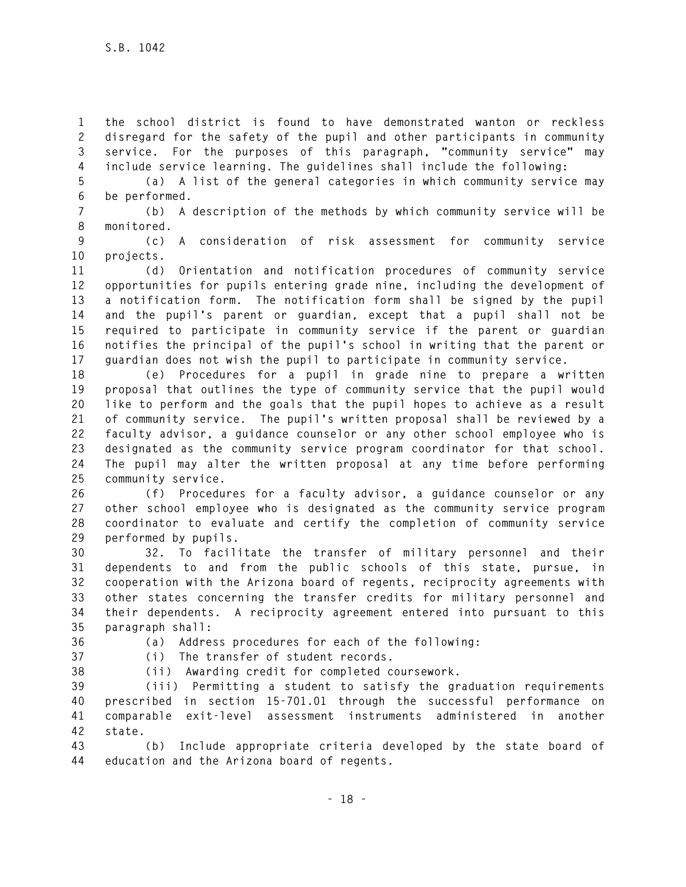**1 the school district is found to have demonstrated wanton or reckless 2 disregard for the safety of the pupil and other participants in community 3 service. For the purposes of this paragraph, "community service" may 4 include service learning. The guidelines shall include the following:** 

**5 (a) A list of the general categories in which community service may 6 be performed.** 

**7 (b) A description of the methods by which community service will be 8 monitored.** 

**9 (c) A consideration of risk assessment for community service 10 projects.** 

**11 (d) Orientation and notification procedures of community service 12 opportunities for pupils entering grade nine, including the development of 13 a notification form. The notification form shall be signed by the pupil 14 and the pupil's parent or guardian, except that a pupil shall not be 15 required to participate in community service if the parent or guardian 16 notifies the principal of the pupil's school in writing that the parent or 17 guardian does not wish the pupil to participate in community service.** 

**18 (e) Procedures for a pupil in grade nine to prepare a written 19 proposal that outlines the type of community service that the pupil would 20 like to perform and the goals that the pupil hopes to achieve as a result 21 of community service. The pupil's written proposal shall be reviewed by a 22 faculty advisor, a guidance counselor or any other school employee who is 23 designated as the community service program coordinator for that school. 24 The pupil may alter the written proposal at any time before performing 25 community service.** 

**26 (f) Procedures for a faculty advisor, a guidance counselor or any 27 other school employee who is designated as the community service program 28 coordinator to evaluate and certify the completion of community service 29 performed by pupils.** 

**30 32. To facilitate the transfer of military personnel and their 31 dependents to and from the public schools of this state, pursue, in 32 cooperation with the Arizona board of regents, reciprocity agreements with 33 other states concerning the transfer credits for military personnel and 34 their dependents. A reciprocity agreement entered into pursuant to this 35 paragraph shall:** 

**36 (a) Address procedures for each of the following:** 

**37 (i) The transfer of student records.** 

**38 (ii) Awarding credit for completed coursework.** 

**39 (iii) Permitting a student to satisfy the graduation requirements 40 prescribed in section 15-701.01 through the successful performance on 41 comparable exit-level assessment instruments administered in another 42 state.** 

**43 (b) Include appropriate criteria developed by the state board of 44 education and the Arizona board of regents.**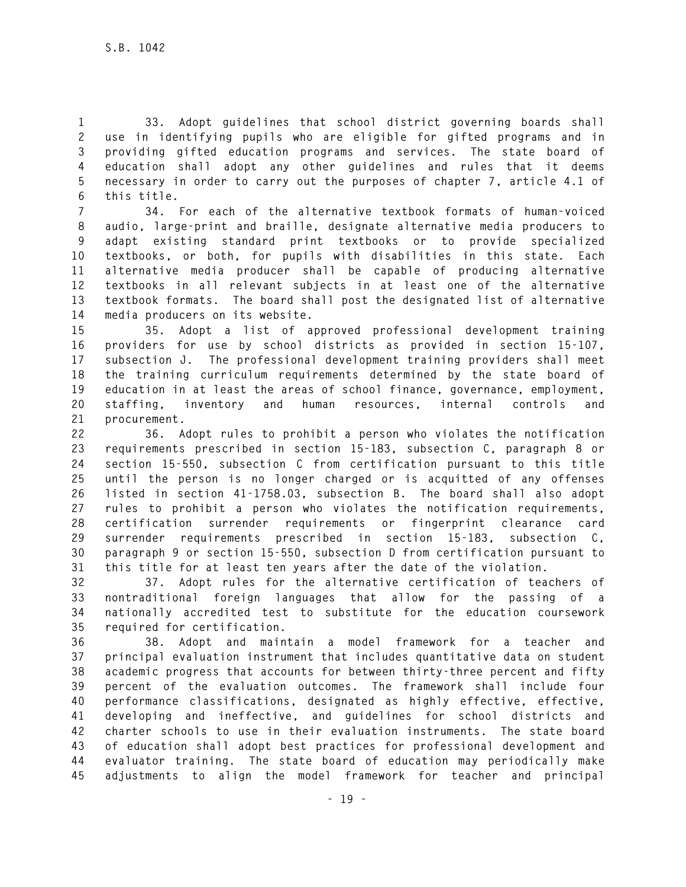**1 33. Adopt guidelines that school district governing boards shall 2 use in identifying pupils who are eligible for gifted programs and in 3 providing gifted education programs and services. The state board of 4 education shall adopt any other guidelines and rules that it deems 5 necessary in order to carry out the purposes of chapter 7, article 4.1 of 6 this title.** 

**7 34. For each of the alternative textbook formats of human-voiced 8 audio, large-print and braille, designate alternative media producers to 9 adapt existing standard print textbooks or to provide specialized 10 textbooks, or both, for pupils with disabilities in this state. Each 11 alternative media producer shall be capable of producing alternative 12 textbooks in all relevant subjects in at least one of the alternative 13 textbook formats. The board shall post the designated list of alternative 14 media producers on its website.** 

**15 35. Adopt a list of approved professional development training 16 providers for use by school districts as provided in section 15-107, 17 subsection J. The professional development training providers shall meet 18 the training curriculum requirements determined by the state board of 19 education in at least the areas of school finance, governance, employment, 20 staffing, inventory and human resources, internal controls and 21 procurement.** 

**22 36. Adopt rules to prohibit a person who violates the notification 23 requirements prescribed in section 15-183, subsection C, paragraph 8 or 24 section 15-550, subsection C from certification pursuant to this title 25 until the person is no longer charged or is acquitted of any offenses 26 listed in section 41-1758.03, subsection B. The board shall also adopt 27 rules to prohibit a person who violates the notification requirements, 28 certification surrender requirements or fingerprint clearance card 29 surrender requirements prescribed in section 15-183, subsection C, 30 paragraph 9 or section 15-550, subsection D from certification pursuant to 31 this title for at least ten years after the date of the violation.** 

**32 37. Adopt rules for the alternative certification of teachers of 33 nontraditional foreign languages that allow for the passing of a 34 nationally accredited test to substitute for the education coursework 35 required for certification.** 

**36 38. Adopt and maintain a model framework for a teacher and 37 principal evaluation instrument that includes quantitative data on student 38 academic progress that accounts for between thirty-three percent and fifty 39 percent of the evaluation outcomes. The framework shall include four 40 performance classifications, designated as highly effective, effective, 41 developing and ineffective, and guidelines for school districts and 42 charter schools to use in their evaluation instruments. The state board 43 of education shall adopt best practices for professional development and 44 evaluator training. The state board of education may periodically make 45 adjustments to align the model framework for teacher and principal**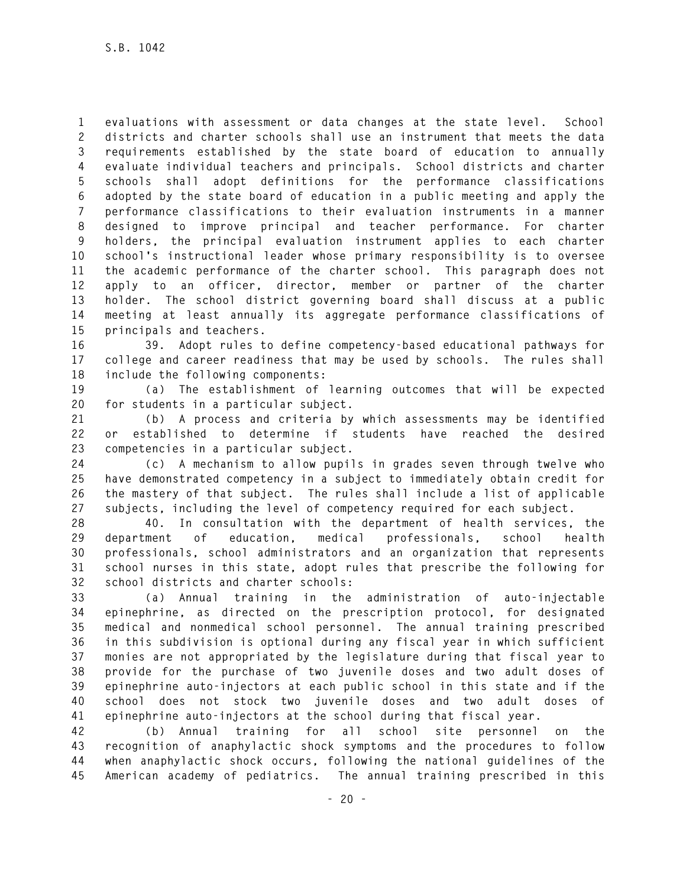**1 evaluations with assessment or data changes at the state level. School 2 districts and charter schools shall use an instrument that meets the data 3 requirements established by the state board of education to annually 4 evaluate individual teachers and principals. School districts and charter 5 schools shall adopt definitions for the performance classifications 6 adopted by the state board of education in a public meeting and apply the 7 performance classifications to their evaluation instruments in a manner 8 designed to improve principal and teacher performance. For charter 9 holders, the principal evaluation instrument applies to each charter 10 school's instructional leader whose primary responsibility is to oversee 11 the academic performance of the charter school. This paragraph does not 12 apply to an officer, director, member or partner of the charter 13 holder. The school district governing board shall discuss at a public 14 meeting at least annually its aggregate performance classifications of 15 principals and teachers.** 

**16 39. Adopt rules to define competency-based educational pathways for 17 college and career readiness that may be used by schools. The rules shall 18 include the following components:** 

**19 (a) The establishment of learning outcomes that will be expected 20 for students in a particular subject.** 

**21 (b) A process and criteria by which assessments may be identified 22 or established to determine if students have reached the desired 23 competencies in a particular subject.** 

**24 (c) A mechanism to allow pupils in grades seven through twelve who 25 have demonstrated competency in a subject to immediately obtain credit for 26 the mastery of that subject. The rules shall include a list of applicable 27 subjects, including the level of competency required for each subject.** 

**28 40. In consultation with the department of health services, the 29 department of education, medical professionals, school health 30 professionals, school administrators and an organization that represents 31 school nurses in this state, adopt rules that prescribe the following for 32 school districts and charter schools:** 

**33 (a) Annual training in the administration of auto-injectable 34 epinephrine, as directed on the prescription protocol, for designated 35 medical and nonmedical school personnel. The annual training prescribed 36 in this subdivision is optional during any fiscal year in which sufficient 37 monies are not appropriated by the legislature during that fiscal year to 38 provide for the purchase of two juvenile doses and two adult doses of 39 epinephrine auto-injectors at each public school in this state and if the 40 school does not stock two juvenile doses and two adult doses of 41 epinephrine auto-injectors at the school during that fiscal year.** 

**42 (b) Annual training for all school site personnel on the 43 recognition of anaphylactic shock symptoms and the procedures to follow 44 when anaphylactic shock occurs, following the national guidelines of the 45 American academy of pediatrics. The annual training prescribed in this**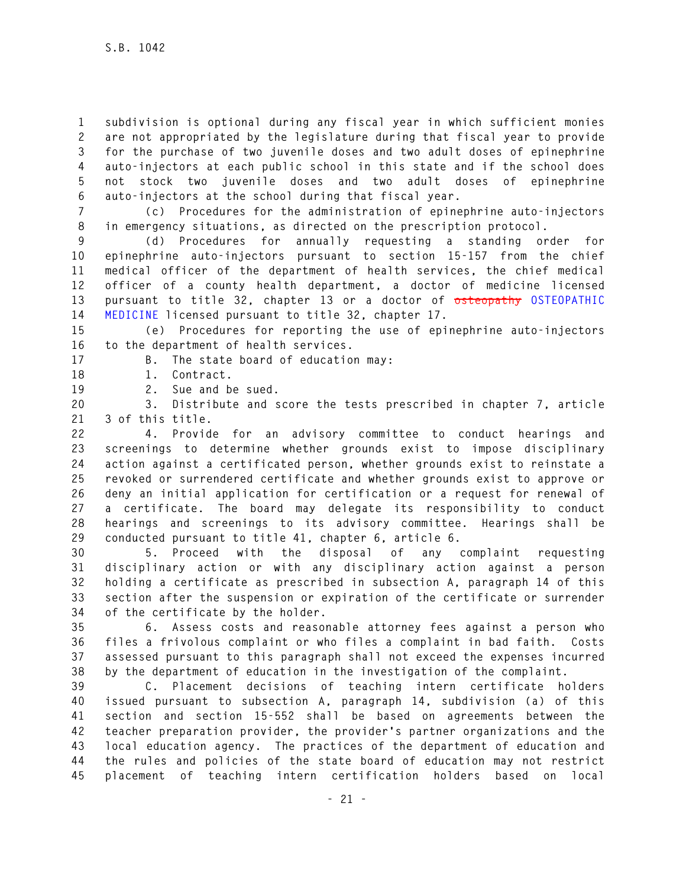**1 subdivision is optional during any fiscal year in which sufficient monies 2 are not appropriated by the legislature during that fiscal year to provide 3 for the purchase of two juvenile doses and two adult doses of epinephrine 4 auto-injectors at each public school in this state and if the school does 5 not stock two juvenile doses and two adult doses of epinephrine 6 auto-injectors at the school during that fiscal year.** 

**7 (c) Procedures for the administration of epinephrine auto-injectors 8 in emergency situations, as directed on the prescription protocol.** 

**9 (d) Procedures for annually requesting a standing order for 10 epinephrine auto-injectors pursuant to section 15-157 from the chief 11 medical officer of the department of health services, the chief medical 12 officer of a county health department, a doctor of medicine licensed 13 pursuant to title 32, chapter 13 or a doctor of osteopathy OSTEOPATHIC 14 MEDICINE licensed pursuant to title 32, chapter 17.** 

**15 (e) Procedures for reporting the use of epinephrine auto-injectors 16 to the department of health services.** 

**17 B. The state board of education may:** 

**18 1. Contract.** 

**19 2. Sue and be sued.** 

**20 3. Distribute and score the tests prescribed in chapter 7, article 21 3 of this title.** 

**22 4. Provide for an advisory committee to conduct hearings and 23 screenings to determine whether grounds exist to impose disciplinary 24 action against a certificated person, whether grounds exist to reinstate a 25 revoked or surrendered certificate and whether grounds exist to approve or 26 deny an initial application for certification or a request for renewal of 27 a certificate. The board may delegate its responsibility to conduct 28 hearings and screenings to its advisory committee. Hearings shall be 29 conducted pursuant to title 41, chapter 6, article 6.** 

**30 5. Proceed with the disposal of any complaint requesting 31 disciplinary action or with any disciplinary action against a person 32 holding a certificate as prescribed in subsection A, paragraph 14 of this 33 section after the suspension or expiration of the certificate or surrender 34 of the certificate by the holder.** 

**35 6. Assess costs and reasonable attorney fees against a person who 36 files a frivolous complaint or who files a complaint in bad faith. Costs 37 assessed pursuant to this paragraph shall not exceed the expenses incurred 38 by the department of education in the investigation of the complaint.** 

**39 C. Placement decisions of teaching intern certificate holders 40 issued pursuant to subsection A, paragraph 14, subdivision (a) of this 41 section and section 15-552 shall be based on agreements between the 42 teacher preparation provider, the provider's partner organizations and the 43 local education agency. The practices of the department of education and 44 the rules and policies of the state board of education may not restrict 45 placement of teaching intern certification holders based on local**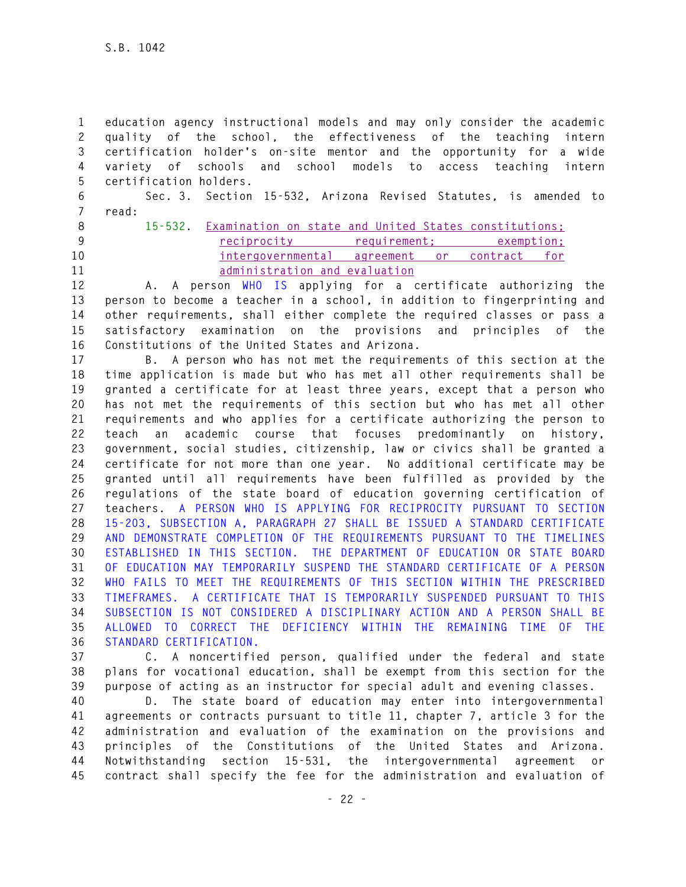**1 education agency instructional models and may only consider the academic 2 quality of the school, the effectiveness of the teaching intern 3 certification holder's on-site mentor and the opportunity for a wide 4 variety of schools and school models to access teaching intern 5 certification holders. 6 Sec. 3. Section 15-532, Arizona Revised Statutes, is amended to 7 read: 8 15-532. Examination on state and United States constitutions; 9 reciprocity requirement; exemption; 10 intergovernmental agreement or contract for 11 administration and evaluation 12 A. A person WHO IS applying for a certificate authorizing the 13 person to become a teacher in a school, in addition to fingerprinting and 14 other requirements, shall either complete the required classes or pass a 15 satisfactory examination on the provisions and principles of the 16 Constitutions of the United States and Arizona. 17 B. A person who has not met the requirements of this section at the 18 time application is made but who has met all other requirements shall be 19 granted a certificate for at least three years, except that a person who 20 has not met the requirements of this section but who has met all other 21 requirements and who applies for a certificate authorizing the person to 22 teach an academic course that focuses predominantly on history, 23 government, social studies, citizenship, law or civics shall be granted a 24 certificate for not more than one year. No additional certificate may be 25 granted until all requirements have been fulfilled as provided by the 26 regulations of the state board of education governing certification of 27 teachers. A PERSON WHO IS APPLYING FOR RECIPROCITY PURSUANT TO SECTION 28 15-203, SUBSECTION A, PARAGRAPH 27 SHALL BE ISSUED A STANDARD CERTIFICATE 29 AND DEMONSTRATE COMPLETION OF THE REQUIREMENTS PURSUANT TO THE TIMELINES 30 ESTABLISHED IN THIS SECTION. THE DEPARTMENT OF EDUCATION OR STATE BOARD 31 OF EDUCATION MAY TEMPORARILY SUSPEND THE STANDARD CERTIFICATE OF A PERSON 32 WHO FAILS TO MEET THE REQUIREMENTS OF THIS SECTION WITHIN THE PRESCRIBED 33 TIMEFRAMES. A CERTIFICATE THAT IS TEMPORARILY SUSPENDED PURSUANT TO THIS 34 SUBSECTION IS NOT CONSIDERED A DISCIPLINARY ACTION AND A PERSON SHALL BE 35 ALLOWED TO CORRECT THE DEFICIENCY WITHIN THE REMAINING TIME OF THE 36 STANDARD CERTIFICATION.**

**37 C. A noncertified person, qualified under the federal and state 38 plans for vocational education, shall be exempt from this section for the 39 purpose of acting as an instructor for special adult and evening classes.** 

**40 D. The state board of education may enter into intergovernmental 41 agreements or contracts pursuant to title 11, chapter 7, article 3 for the 42 administration and evaluation of the examination on the provisions and 43 principles of the Constitutions of the United States and Arizona. 44 Notwithstanding section 15-531, the intergovernmental agreement or 45 contract shall specify the fee for the administration and evaluation of**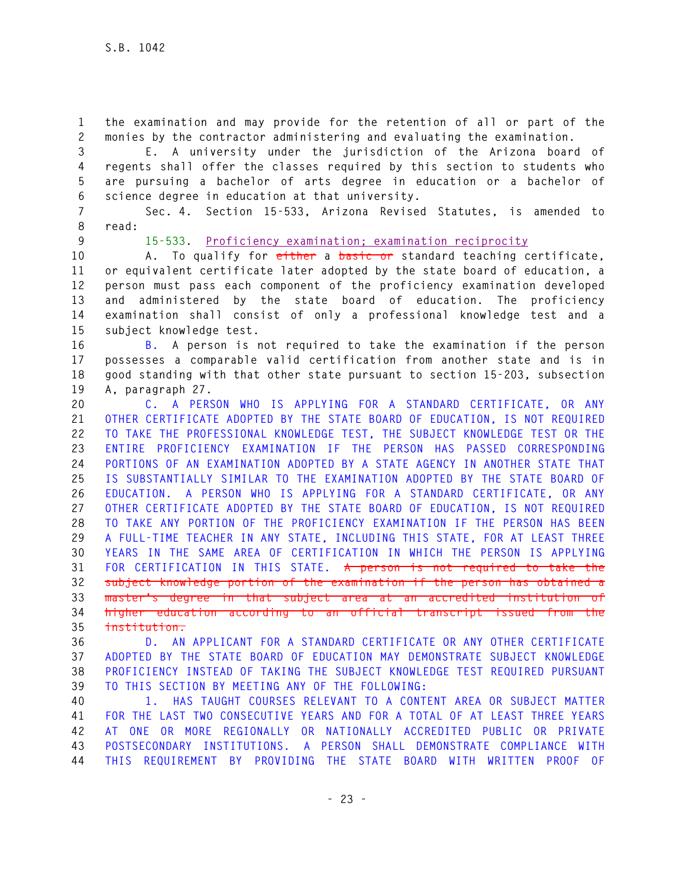**1 the examination and may provide for the retention of all or part of the 2 monies by the contractor administering and evaluating the examination.** 

**3 E. A university under the jurisdiction of the Arizona board of 4 regents shall offer the classes required by this section to students who 5 are pursuing a bachelor of arts degree in education or a bachelor of 6 science degree in education at that university.** 

**7 Sec. 4. Section 15-533, Arizona Revised Statutes, is amended to 8 read:** 

**9 15-533. Proficiency examination; examination reciprocity**

**10 A. To qualify for either a basic or standard teaching certificate, 11 or equivalent certificate later adopted by the state board of education, a 12 person must pass each component of the proficiency examination developed 13 and administered by the state board of education. The proficiency 14 examination shall consist of only a professional knowledge test and a 15 subject knowledge test.** 

**16 B. A person is not required to take the examination if the person 17 possesses a comparable valid certification from another state and is in 18 good standing with that other state pursuant to section 15-203, subsection 19 A, paragraph 27.** 

**20 C. A PERSON WHO IS APPLYING FOR A STANDARD CERTIFICATE, OR ANY 21 OTHER CERTIFICATE ADOPTED BY THE STATE BOARD OF EDUCATION, IS NOT REQUIRED 22 TO TAKE THE PROFESSIONAL KNOWLEDGE TEST, THE SUBJECT KNOWLEDGE TEST OR THE 23 ENTIRE PROFICIENCY EXAMINATION IF THE PERSON HAS PASSED CORRESPONDING 24 PORTIONS OF AN EXAMINATION ADOPTED BY A STATE AGENCY IN ANOTHER STATE THAT 25 IS SUBSTANTIALLY SIMILAR TO THE EXAMINATION ADOPTED BY THE STATE BOARD OF 26 EDUCATION. A PERSON WHO IS APPLYING FOR A STANDARD CERTIFICATE, OR ANY 27 OTHER CERTIFICATE ADOPTED BY THE STATE BOARD OF EDUCATION, IS NOT REQUIRED 28 TO TAKE ANY PORTION OF THE PROFICIENCY EXAMINATION IF THE PERSON HAS BEEN 29 A FULL-TIME TEACHER IN ANY STATE, INCLUDING THIS STATE, FOR AT LEAST THREE 30 YEARS IN THE SAME AREA OF CERTIFICATION IN WHICH THE PERSON IS APPLYING 31 FOR CERTIFICATION IN THIS STATE. A person is not required to take the 32 subject knowledge portion of the examination if the person has obtained a 33 master's degree in that subject area at an accredited institution of 34 higher education according to an official transcript issued from the 35 institution.** 

**36 D. AN APPLICANT FOR A STANDARD CERTIFICATE OR ANY OTHER CERTIFICATE 37 ADOPTED BY THE STATE BOARD OF EDUCATION MAY DEMONSTRATE SUBJECT KNOWLEDGE 38 PROFICIENCY INSTEAD OF TAKING THE SUBJECT KNOWLEDGE TEST REQUIRED PURSUANT 39 TO THIS SECTION BY MEETING ANY OF THE FOLLOWING:** 

**40 1. HAS TAUGHT COURSES RELEVANT TO A CONTENT AREA OR SUBJECT MATTER 41 FOR THE LAST TWO CONSECUTIVE YEARS AND FOR A TOTAL OF AT LEAST THREE YEARS 42 AT ONE OR MORE REGIONALLY OR NATIONALLY ACCREDITED PUBLIC OR PRIVATE 43 POSTSECONDARY INSTITUTIONS. A PERSON SHALL DEMONSTRATE COMPLIANCE WITH 44 THIS REQUIREMENT BY PROVIDING THE STATE BOARD WITH WRITTEN PROOF OF**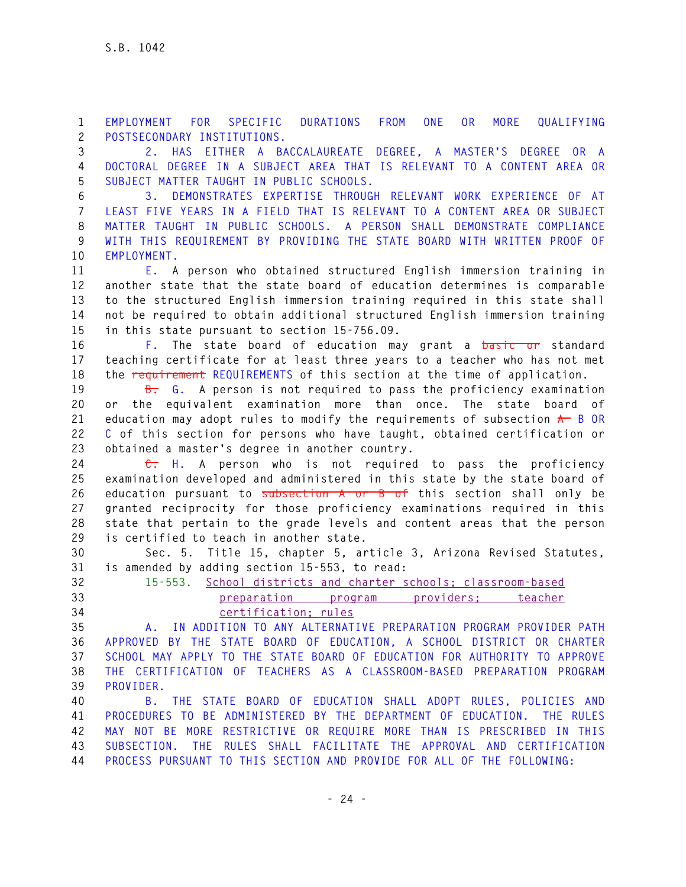**1 EMPLOYMENT FOR SPECIFIC DURATIONS FROM ONE OR MORE QUALIFYING 2 POSTSECONDARY INSTITUTIONS.** 

**3 2. HAS EITHER A BACCALAUREATE DEGREE, A MASTER'S DEGREE OR A 4 DOCTORAL DEGREE IN A SUBJECT AREA THAT IS RELEVANT TO A CONTENT AREA OR 5 SUBJECT MATTER TAUGHT IN PUBLIC SCHOOLS.** 

**6 3. DEMONSTRATES EXPERTISE THROUGH RELEVANT WORK EXPERIENCE OF AT 7 LEAST FIVE YEARS IN A FIELD THAT IS RELEVANT TO A CONTENT AREA OR SUBJECT 8 MATTER TAUGHT IN PUBLIC SCHOOLS. A PERSON SHALL DEMONSTRATE COMPLIANCE 9 WITH THIS REQUIREMENT BY PROVIDING THE STATE BOARD WITH WRITTEN PROOF OF 10 EMPLOYMENT.** 

**11 E. A person who obtained structured English immersion training in 12 another state that the state board of education determines is comparable 13 to the structured English immersion training required in this state shall 14 not be required to obtain additional structured English immersion training 15 in this state pursuant to section 15-756.09.** 

**16 F. The state board of education may grant a basic or standard 17 teaching certificate for at least three years to a teacher who has not met 18 the requirement REQUIREMENTS of this section at the time of application.** 

**19 B. G. A person is not required to pass the proficiency examination 20 or the equivalent examination more than once. The state board of**  21 education may adopt rules to modify the requirements of subsection  $\star$  B OR **22 C of this section for persons who have taught, obtained certification or 23 obtained a master's degree in another country.** 

**24 C. H. A person who is not required to pass the proficiency 25 examination developed and administered in this state by the state board of 26 education pursuant to subsection A or B of this section shall only be 27 granted reciprocity for those proficiency examinations required in this 28 state that pertain to the grade levels and content areas that the person 29 is certified to teach in another state.** 

**30 Sec. 5. Title 15, chapter 5, article 3, Arizona Revised Statutes, 31 is amended by adding section 15-553, to read:** 

**32 15-553. School districts and charter schools; classroom-based 33 preparation program providers; teacher** 

## **34 certification; rules**

**35 A. IN ADDITION TO ANY ALTERNATIVE PREPARATION PROGRAM PROVIDER PATH 36 APPROVED BY THE STATE BOARD OF EDUCATION, A SCHOOL DISTRICT OR CHARTER 37 SCHOOL MAY APPLY TO THE STATE BOARD OF EDUCATION FOR AUTHORITY TO APPROVE 38 THE CERTIFICATION OF TEACHERS AS A CLASSROOM-BASED PREPARATION PROGRAM 39 PROVIDER.** 

**40 B. THE STATE BOARD OF EDUCATION SHALL ADOPT RULES, POLICIES AND 41 PROCEDURES TO BE ADMINISTERED BY THE DEPARTMENT OF EDUCATION. THE RULES 42 MAY NOT BE MORE RESTRICTIVE OR REQUIRE MORE THAN IS PRESCRIBED IN THIS 43 SUBSECTION. THE RULES SHALL FACILITATE THE APPROVAL AND CERTIFICATION 44 PROCESS PURSUANT TO THIS SECTION AND PROVIDE FOR ALL OF THE FOLLOWING:**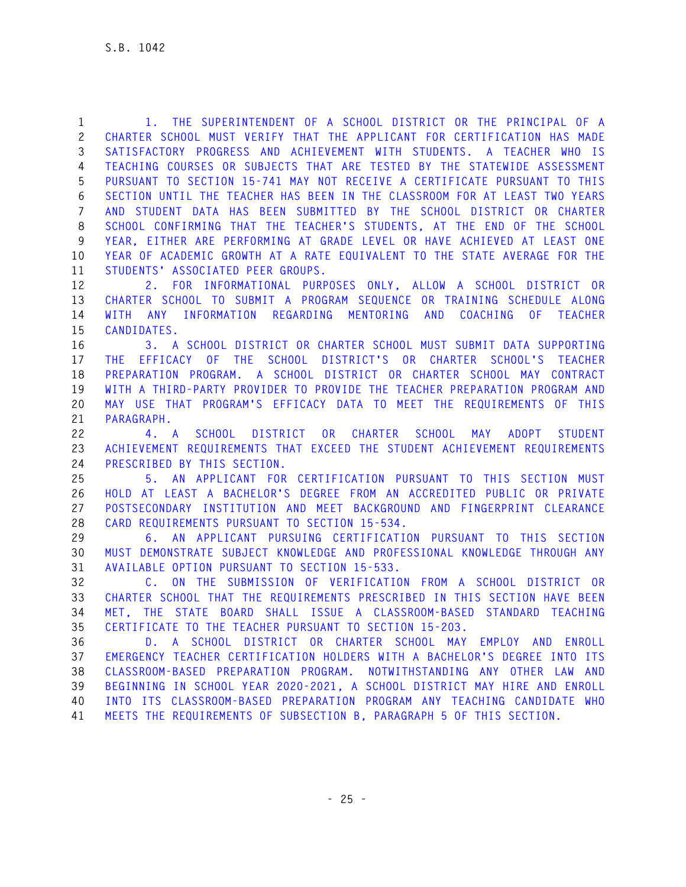**1 1. THE SUPERINTENDENT OF A SCHOOL DISTRICT OR THE PRINCIPAL OF A 2 CHARTER SCHOOL MUST VERIFY THAT THE APPLICANT FOR CERTIFICATION HAS MADE 3 SATISFACTORY PROGRESS AND ACHIEVEMENT WITH STUDENTS. A TEACHER WHO IS 4 TEACHING COURSES OR SUBJECTS THAT ARE TESTED BY THE STATEWIDE ASSESSMENT 5 PURSUANT TO SECTION 15-741 MAY NOT RECEIVE A CERTIFICATE PURSUANT TO THIS 6 SECTION UNTIL THE TEACHER HAS BEEN IN THE CLASSROOM FOR AT LEAST TWO YEARS 7 AND STUDENT DATA HAS BEEN SUBMITTED BY THE SCHOOL DISTRICT OR CHARTER 8 SCHOOL CONFIRMING THAT THE TEACHER'S STUDENTS, AT THE END OF THE SCHOOL 9 YEAR, EITHER ARE PERFORMING AT GRADE LEVEL OR HAVE ACHIEVED AT LEAST ONE 10 YEAR OF ACADEMIC GROWTH AT A RATE EQUIVALENT TO THE STATE AVERAGE FOR THE 11 STUDENTS' ASSOCIATED PEER GROUPS.** 

**12 2. FOR INFORMATIONAL PURPOSES ONLY, ALLOW A SCHOOL DISTRICT OR 13 CHARTER SCHOOL TO SUBMIT A PROGRAM SEQUENCE OR TRAINING SCHEDULE ALONG 14 WITH ANY INFORMATION REGARDING MENTORING AND COACHING OF TEACHER 15 CANDIDATES.** 

**16 3. A SCHOOL DISTRICT OR CHARTER SCHOOL MUST SUBMIT DATA SUPPORTING 17 THE EFFICACY OF THE SCHOOL DISTRICT'S OR CHARTER SCHOOL'S TEACHER 18 PREPARATION PROGRAM. A SCHOOL DISTRICT OR CHARTER SCHOOL MAY CONTRACT 19 WITH A THIRD-PARTY PROVIDER TO PROVIDE THE TEACHER PREPARATION PROGRAM AND 20 MAY USE THAT PROGRAM'S EFFICACY DATA TO MEET THE REQUIREMENTS OF THIS 21 PARAGRAPH.** 

**22 4. A SCHOOL DISTRICT OR CHARTER SCHOOL MAY ADOPT STUDENT 23 ACHIEVEMENT REQUIREMENTS THAT EXCEED THE STUDENT ACHIEVEMENT REQUIREMENTS 24 PRESCRIBED BY THIS SECTION.** 

**25 5. AN APPLICANT FOR CERTIFICATION PURSUANT TO THIS SECTION MUST 26 HOLD AT LEAST A BACHELOR'S DEGREE FROM AN ACCREDITED PUBLIC OR PRIVATE 27 POSTSECONDARY INSTITUTION AND MEET BACKGROUND AND FINGERPRINT CLEARANCE 28 CARD REQUIREMENTS PURSUANT TO SECTION 15-534.** 

**29 6. AN APPLICANT PURSUING CERTIFICATION PURSUANT TO THIS SECTION 30 MUST DEMONSTRATE SUBJECT KNOWLEDGE AND PROFESSIONAL KNOWLEDGE THROUGH ANY 31 AVAILABLE OPTION PURSUANT TO SECTION 15-533.** 

**32 C. ON THE SUBMISSION OF VERIFICATION FROM A SCHOOL DISTRICT OR 33 CHARTER SCHOOL THAT THE REQUIREMENTS PRESCRIBED IN THIS SECTION HAVE BEEN 34 MET, THE STATE BOARD SHALL ISSUE A CLASSROOM-BASED STANDARD TEACHING 35 CERTIFICATE TO THE TEACHER PURSUANT TO SECTION 15-203.** 

**36 D. A SCHOOL DISTRICT OR CHARTER SCHOOL MAY EMPLOY AND ENROLL 37 EMERGENCY TEACHER CERTIFICATION HOLDERS WITH A BACHELOR'S DEGREE INTO ITS 38 CLASSROOM-BASED PREPARATION PROGRAM. NOTWITHSTANDING ANY OTHER LAW AND 39 BEGINNING IN SCHOOL YEAR 2020-2021, A SCHOOL DISTRICT MAY HIRE AND ENROLL 40 INTO ITS CLASSROOM-BASED PREPARATION PROGRAM ANY TEACHING CANDIDATE WHO 41 MEETS THE REQUIREMENTS OF SUBSECTION B, PARAGRAPH 5 OF THIS SECTION.**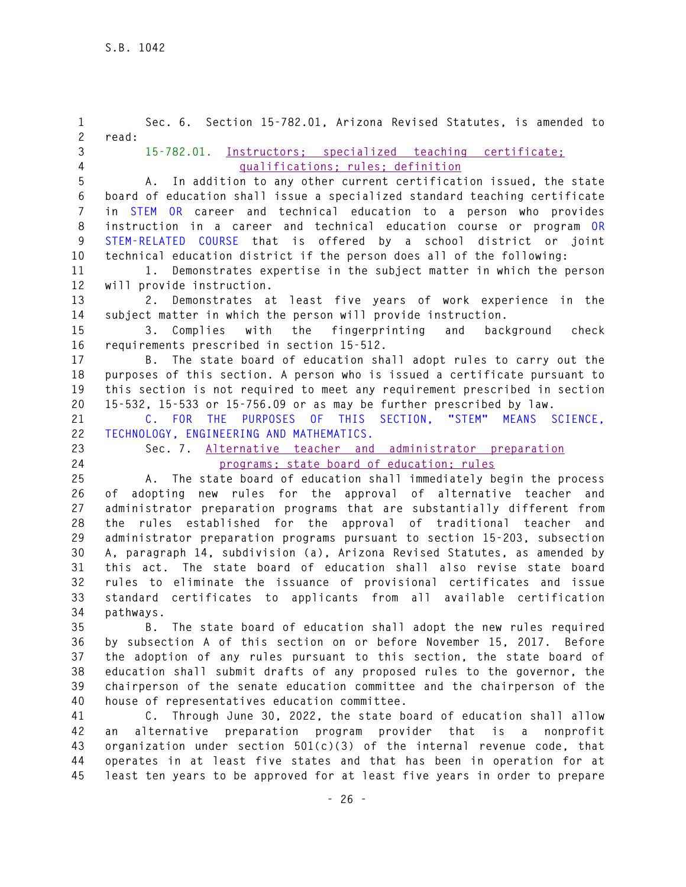**1 Sec. 6. Section 15-782.01, Arizona Revised Statutes, is amended to 2 read: 3 15-782.01. Instructors; specialized teaching certificate; 4 qualifications; rules; definition 5 A. In addition to any other current certification issued, the state 6 board of education shall issue a specialized standard teaching certificate 7 in STEM OR career and technical education to a person who provides 8 instruction in a career and technical education course or program OR 9 STEM-RELATED COURSE that is offered by a school district or joint 10 technical education district if the person does all of the following: 11 1. Demonstrates expertise in the subject matter in which the person 12 will provide instruction. 13 2. Demonstrates at least five years of work experience in the 14 subject matter in which the person will provide instruction. 15 3. Complies with the fingerprinting and background check 16 requirements prescribed in section 15-512. 17 B. The state board of education shall adopt rules to carry out the 18 purposes of this section. A person who is issued a certificate pursuant to 19 this section is not required to meet any requirement prescribed in section 20 15-532, 15-533 or 15-756.09 or as may be further prescribed by law. 21 C. FOR THE PURPOSES OF THIS SECTION, "STEM" MEANS SCIENCE, 22 TECHNOLOGY, ENGINEERING AND MATHEMATICS. 23 Sec. 7. Alternative teacher and administrator preparation 24 programs; state board of education; rules 25 A. The state board of education shall immediately begin the process 26 of adopting new rules for the approval of alternative teacher and 27 administrator preparation programs that are substantially different from 28 the rules established for the approval of traditional teacher and 29 administrator preparation programs pursuant to section 15-203, subsection 30 A, paragraph 14, subdivision (a), Arizona Revised Statutes, as amended by 31 this act. The state board of education shall also revise state board 32 rules to eliminate the issuance of provisional certificates and issue 33 standard certificates to applicants from all available certification 34 pathways. 35 B. The state board of education shall adopt the new rules required 36 by subsection A of this section on or before November 15, 2017. Before 37 the adoption of any rules pursuant to this section, the state board of 38 education shall submit drafts of any proposed rules to the governor, the 39 chairperson of the senate education committee and the chairperson of the 40 house of representatives education committee. 41 C. Through June 30, 2022, the state board of education shall allow 42 an alternative preparation program provider that is a nonprofit 43 organization under section 501(c)(3) of the internal revenue code, that 44 operates in at least five states and that has been in operation for at** 

**45 least ten years to be approved for at least five years in order to prepare**